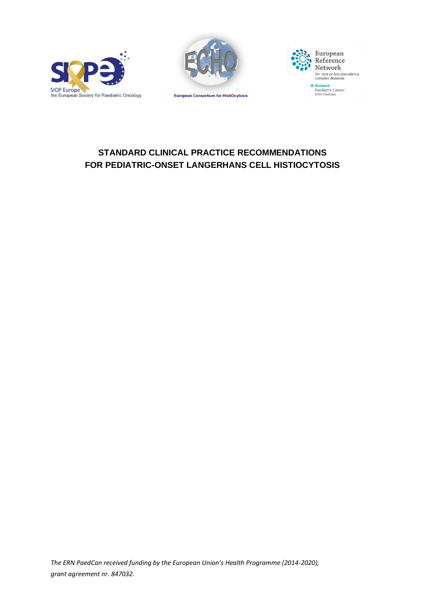





# **STANDARD CLINICAL PRACTICE RECOMMENDATIONS FOR PEDIATRIC-ONSET LANGERHANS CELL HISTIOCYTOSIS**

*The ERN PaedCan received funding by the European Union's Health Programme (2014-2020), grant agreement nr. 847032.*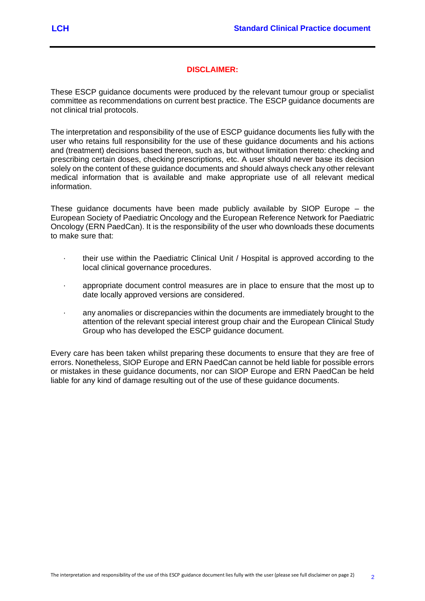### **DISCLAIMER:**

These ESCP guidance documents were produced by the relevant tumour group or specialist committee as recommendations on current best practice. The ESCP guidance documents are not clinical trial protocols.

The interpretation and responsibility of the use of ESCP guidance documents lies fully with the user who retains full responsibility for the use of these guidance documents and his actions and (treatment) decisions based thereon, such as, but without limitation thereto: checking and prescribing certain doses, checking prescriptions, etc. A user should never base its decision solely on the content of these guidance documents and should always check any other relevant medical information that is available and make appropriate use of all relevant medical information.

These guidance documents have been made publicly available by SIOP Europe – the European Society of Paediatric Oncology and the European Reference Network for Paediatric Oncology (ERN PaedCan). It is the responsibility of the user who downloads these documents to make sure that:

- · their use within the Paediatric Clinical Unit / Hospital is approved according to the local clinical governance procedures.
- · appropriate document control measures are in place to ensure that the most up to date locally approved versions are considered.
- · any anomalies or discrepancies within the documents are immediately brought to the attention of the relevant special interest group chair and the European Clinical Study Group who has developed the ESCP guidance document.

Every care has been taken whilst preparing these documents to ensure that they are free of errors. Nonetheless, SIOP Europe and ERN PaedCan cannot be held liable for possible errors or mistakes in these guidance documents, nor can SIOP Europe and ERN PaedCan be held liable for any kind of damage resulting out of the use of these guidance documents.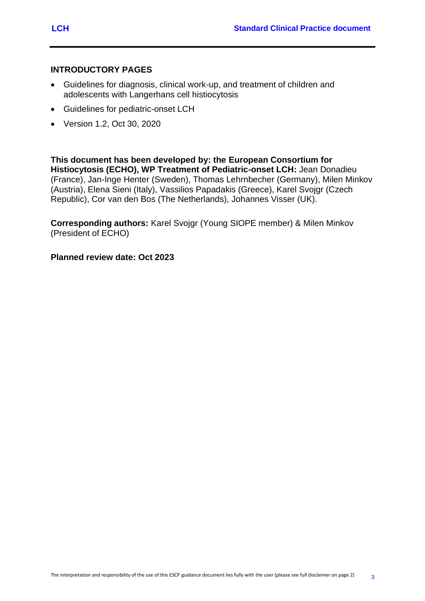## **INTRODUCTORY PAGES**

- Guidelines for diagnosis, clinical work-up, and treatment of children and adolescents with Langerhans cell histiocytosis
- Guidelines for pediatric-onset LCH
- Version 1.2, Oct 30, 2020

**This document has been developed by: the European Consortium for Histiocytosis (ECHO), WP Treatment of Pediatric-onset LCH:** Jean Donadieu (France), Jan-Inge Henter (Sweden), Thomas Lehrnbecher (Germany), Milen Minkov (Austria), Elena Sieni (Italy), Vassilios Papadakis (Greece), Karel Svojgr (Czech Republic), Cor van den Bos (The Netherlands), Johannes Visser (UK).

**Corresponding authors:** Karel Svojgr (Young SIOPE member) & Milen Minkov (President of ECHO)

**Planned review date: Oct 2023**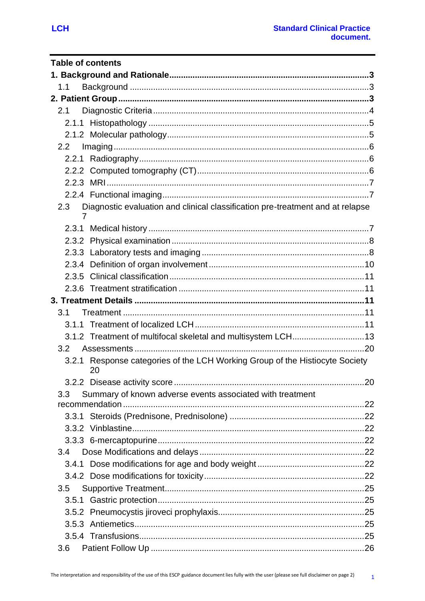| <b>Table of contents</b>                                                                   |  |
|--------------------------------------------------------------------------------------------|--|
|                                                                                            |  |
| 1.1                                                                                        |  |
|                                                                                            |  |
| 2.1                                                                                        |  |
|                                                                                            |  |
|                                                                                            |  |
| 2.2                                                                                        |  |
|                                                                                            |  |
|                                                                                            |  |
|                                                                                            |  |
|                                                                                            |  |
| Diagnostic evaluation and clinical classification pre-treatment and at relapse<br>2.3<br>7 |  |
|                                                                                            |  |
|                                                                                            |  |
|                                                                                            |  |
|                                                                                            |  |
|                                                                                            |  |
|                                                                                            |  |
|                                                                                            |  |
| 3.1                                                                                        |  |
|                                                                                            |  |
|                                                                                            |  |
| 3.2                                                                                        |  |
| 3.2.1 Response categories of the LCH Working Group of the Histiocyte Society<br>20         |  |
|                                                                                            |  |
| Summary of known adverse events associated with treatment<br>3.3                           |  |
|                                                                                            |  |
|                                                                                            |  |
|                                                                                            |  |
|                                                                                            |  |
| 3.4                                                                                        |  |
|                                                                                            |  |
|                                                                                            |  |
| 3.5                                                                                        |  |
|                                                                                            |  |
|                                                                                            |  |
|                                                                                            |  |
|                                                                                            |  |
| 3.6                                                                                        |  |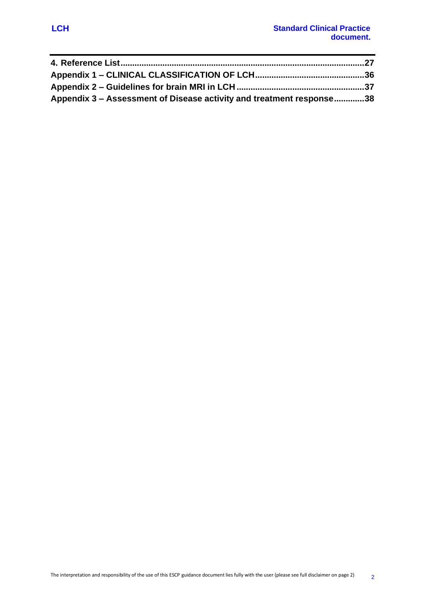| Appendix 3 – Assessment of Disease activity and treatment response38 |  |
|----------------------------------------------------------------------|--|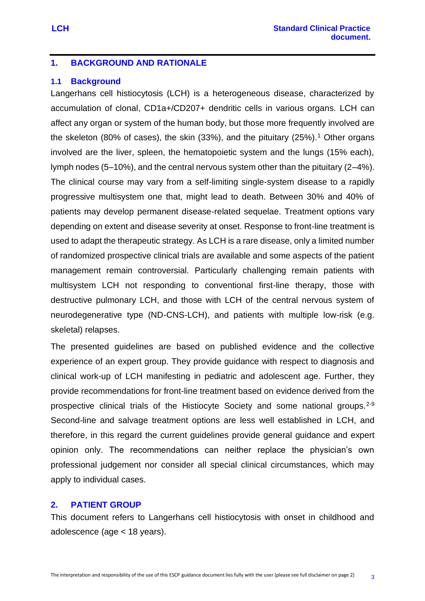## <span id="page-5-0"></span>**1. BACKGROUND AND RATIONALE**

#### <span id="page-5-1"></span>**1.1 Background**

Langerhans cell histiocytosis (LCH) is a heterogeneous disease, characterized by accumulation of clonal, CD1a+/CD207+ dendritic cells in various organs. LCH can affect any organ or system of the human body, but those more frequently involved are the skeleton (80% of cases), the skin (33%), and the pituitary (25%).<sup>1</sup> Other organs involved are the liver, spleen, the hematopoietic system and the lungs (15% each), lymph nodes (5–10%), and the central nervous system other than the pituitary (2–4%). The clinical course may vary from a self-limiting single-system disease to a rapidly progressive multisystem one that, might lead to death. Between 30% and 40% of patients may develop permanent disease-related sequelae. Treatment options vary depending on extent and disease severity at onset. Response to front-line treatment is used to adapt the therapeutic strategy. As LCH is a rare disease, only a limited number of randomized prospective clinical trials are available and some aspects of the patient management remain controversial. Particularly challenging remain patients with multisystem LCH not responding to conventional first-line therapy, those with destructive pulmonary LCH, and those with LCH of the central nervous system of neurodegenerative type (ND-CNS-LCH), and patients with multiple low-risk (e.g. skeletal) relapses.

The presented guidelines are based on published evidence and the collective experience of an expert group. They provide guidance with respect to diagnosis and clinical work-up of LCH manifesting in pediatric and adolescent age. Further, they provide recommendations for front-line treatment based on evidence derived from the prospective clinical trials of the Histiocyte Society and some national groups.<sup>2-9</sup> Second-line and salvage treatment options are less well established in LCH, and therefore, in this regard the current guidelines provide general guidance and expert opinion only. The recommendations can neither replace the physician's own professional judgement nor consider all special clinical circumstances, which may apply to individual cases.

#### <span id="page-5-2"></span>**2. PATIENT GROUP**

This document refers to Langerhans cell histiocytosis with onset in childhood and adolescence (age < 18 years).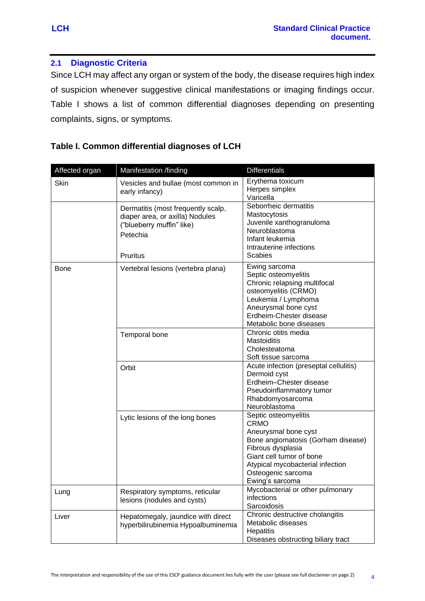#### <span id="page-6-0"></span>**2.1 Diagnostic Criteria**

Since LCH may affect any organ or system of the body, the disease requires high index of suspicion whenever suggestive clinical manifestations or imaging findings occur. Table I shows a list of common differential diagnoses depending on presenting complaints, signs, or symptoms.

## **Table I. Common differential diagnoses of LCH**

| Affected organ | Manifestation /finding                                                                                                     | <b>Differentials</b>                                                                                                                                                                                                            |
|----------------|----------------------------------------------------------------------------------------------------------------------------|---------------------------------------------------------------------------------------------------------------------------------------------------------------------------------------------------------------------------------|
| Skin           | Vesicles and bullae (most common in<br>early infancy)                                                                      | Erythema toxicum<br>Herpes simplex<br>Varicella                                                                                                                                                                                 |
|                | Dermatitis (most frequently scalp,<br>diaper area, or axilla) Nodules<br>("blueberry muffin" like)<br>Petechia<br>Pruritus | Seborrheic dermatitis<br>Mastocytosis<br>Juvenile xanthogranuloma<br>Neuroblastoma<br>Infant leukemia<br>Intrauterine infections<br><b>Scabies</b>                                                                              |
| <b>Bone</b>    | Vertebral lesions (vertebra plana)                                                                                         | Ewing sarcoma<br>Septic osteomyelitis<br>Chronic relapsing multifocal<br>osteomyelitis (CRMO)<br>Leukemia / Lymphoma<br>Aneurysmal bone cyst<br>Erdheim-Chester disease<br>Metabolic bone diseases                              |
|                | Temporal bone                                                                                                              | Chronic otitis media<br><b>Mastoiditis</b><br>Cholesteatoma<br>Soft tissue sarcoma                                                                                                                                              |
|                | Orbit                                                                                                                      | Acute infection (preseptal cellulitis)<br>Dermoid cyst<br>Erdheim-Chester disease<br>Pseudoinflammatory tumor<br>Rhabdomyosarcoma<br>Neuroblastoma                                                                              |
|                | Lytic lesions of the long bones                                                                                            | Septic osteomyelitis<br><b>CRMO</b><br>Aneurysmal bone cyst<br>Bone angiomatosis (Gorham disease)<br>Fibrous dysplasia<br>Giant cell tumor of bone<br>Atypical mycobacterial infection<br>Osteogenic sarcoma<br>Ewing's sarcoma |
| Lung           | Respiratory symptoms, reticular<br>lesions (nodules and cysts)                                                             | Mycobacterial or other pulmonary<br>infections<br>Sarcoidosis                                                                                                                                                                   |
| Liver          | Hepatomegaly, jaundice with direct<br>hyperbilirubinemia Hypoalbuminemia                                                   | Chronic destructive cholangitis<br>Metabolic diseases<br>Hepatitis<br>Diseases obstructing biliary tract                                                                                                                        |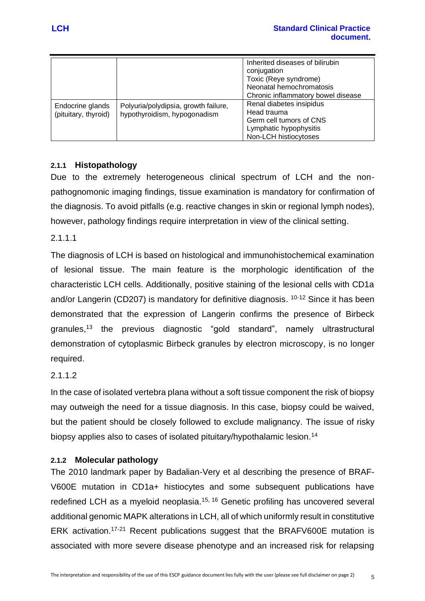|                                          |                                                                      | Inherited diseases of bilirubin<br>conjugation<br>Toxic (Reye syndrome)<br>Neonatal hemochromatosis<br>Chronic inflammatory bowel disease |
|------------------------------------------|----------------------------------------------------------------------|-------------------------------------------------------------------------------------------------------------------------------------------|
| Endocrine glands<br>(pituitary, thyroid) | Polyuria/polydipsia, growth failure,<br>hypothyroidism, hypogonadism | Renal diabetes insipidus<br>Head trauma<br>Germ cell tumors of CNS<br>Lymphatic hypophysitis<br>Non-LCH histiocytoses                     |

# <span id="page-7-0"></span>**2.1.1 Histopathology**

Due to the extremely heterogeneous clinical spectrum of LCH and the nonpathognomonic imaging findings, tissue examination is mandatory for confirmation of the diagnosis. To avoid pitfalls (e.g. reactive changes in skin or regional lymph nodes), however, pathology findings require interpretation in view of the clinical setting.

## 2.1.1.1

The diagnosis of LCH is based on histological and immunohistochemical examination of lesional tissue. The main feature is the morphologic identification of the characteristic LCH cells. Additionally, positive staining of the lesional cells with CD1a and/or Langerin (CD207) is mandatory for definitive diagnosis. <sup>10-12</sup> Since it has been demonstrated that the expression of Langerin confirms the presence of Birbeck granules,<sup>13</sup> the previous diagnostic "gold standard", namely ultrastructural demonstration of cytoplasmic Birbeck granules by electron microscopy, is no longer required.

# 2.1.1.2

In the case of isolated vertebra plana without a soft tissue component the risk of biopsy may outweigh the need for a tissue diagnosis. In this case, biopsy could be waived, but the patient should be closely followed to exclude malignancy. The issue of risky biopsy applies also to cases of isolated pituitary/hypothalamic lesion.<sup>14</sup>

## <span id="page-7-1"></span>**2.1.2 Molecular pathology**

The 2010 landmark paper by Badalian-Very et al describing the presence of BRAF-V600E mutation in CD1a+ histiocytes and some subsequent publications have redefined LCH as a myeloid neoplasia.<sup>15, 16</sup> Genetic profiling has uncovered several additional genomic MAPK alterations in LCH, all of which uniformly result in constitutive ERK activation.17-21 Recent publications suggest that the BRAFV600E mutation is associated with more severe disease phenotype and an increased risk for relapsing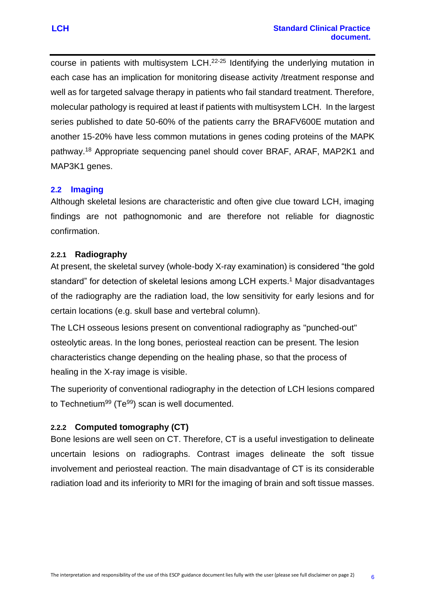course in patients with multisystem LCH.<sup>22-25</sup> Identifying the underlying mutation in each case has an implication for monitoring disease activity /treatment response and well as for targeted salvage therapy in patients who fail standard treatment. Therefore, molecular pathology is required at least if patients with multisystem LCH. In the largest series published to date 50-60% of the patients carry the BRAFV600E mutation and another 15-20% have less common mutations in genes coding proteins of the MAPK pathway. <sup>18</sup> Appropriate sequencing panel should cover BRAF, ARAF, MAP2K1 and MAP3K1 genes.

## <span id="page-8-0"></span>**2.2 Imaging**

Although skeletal lesions are characteristic and often give clue toward LCH, imaging findings are not pathognomonic and are therefore not reliable for diagnostic confirmation.

#### <span id="page-8-1"></span>**2.2.1 Radiography**

At present, the skeletal survey (whole-body X-ray examination) is considered "the gold standard" for detection of skeletal lesions among LCH experts.<sup>1</sup> Major disadvantages of the radiography are the radiation load, the low sensitivity for early lesions and for certain locations (e.g. skull base and vertebral column).

The LCH osseous lesions present on conventional radiography as "punched-out" osteolytic areas. In the long bones, periosteal reaction can be present. The lesion characteristics change depending on the healing phase, so that the process of healing in the X-ray image is visible.

The superiority of conventional radiography in the detection of LCH lesions compared to Technetium<sup>99</sup> (Te<sup>99</sup>) scan is well documented.

## <span id="page-8-2"></span>**2.2.2 Computed tomography (CT)**

Bone lesions are well seen on CT. Therefore, CT is a useful investigation to delineate uncertain lesions on radiographs. Contrast images delineate the soft tissue involvement and periosteal reaction. The main disadvantage of CT is its considerable radiation load and its inferiority to MRI for the imaging of brain and soft tissue masses.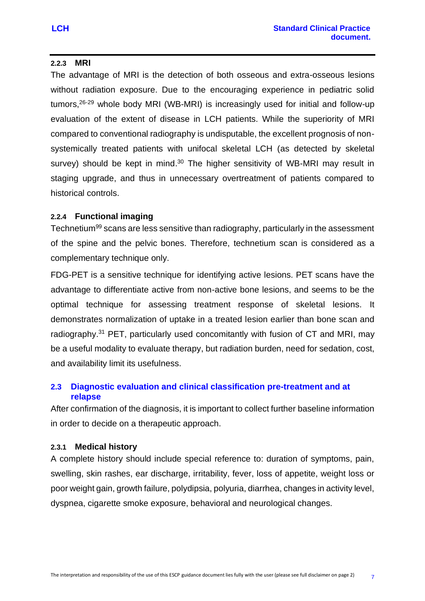## <span id="page-9-0"></span>**2.2.3 MRI**

The advantage of MRI is the detection of both osseous and extra-osseous lesions without radiation exposure. Due to the encouraging experience in pediatric solid tumors,26-29 whole body MRI (WB-MRI) is increasingly used for initial and follow-up evaluation of the extent of disease in LCH patients. While the superiority of MRI compared to conventional radiography is undisputable, the excellent prognosis of nonsystemically treated patients with unifocal skeletal LCH (as detected by skeletal survey) should be kept in mind.<sup>30</sup> The higher sensitivity of WB-MRI may result in staging upgrade, and thus in unnecessary overtreatment of patients compared to historical controls.

## <span id="page-9-1"></span>**2.2.4 Functional imaging**

Technetium<sup>99</sup> scans are less sensitive than radiography, particularly in the assessment of the spine and the pelvic bones. Therefore, technetium scan is considered as a complementary technique only.

FDG-PET is a sensitive technique for identifying active lesions. PET scans have the advantage to differentiate active from non-active bone lesions, and seems to be the optimal technique for assessing treatment response of skeletal lesions. It demonstrates normalization of uptake in a treated lesion earlier than bone scan and radiography.<sup>31</sup> PET, particularly used concomitantly with fusion of CT and MRI, may be a useful modality to evaluate therapy, but radiation burden, need for sedation, cost, and availability limit its usefulness.

## <span id="page-9-2"></span>**2.3 Diagnostic evaluation and clinical classification pre-treatment and at relapse**

After confirmation of the diagnosis, it is important to collect further baseline information in order to decide on a therapeutic approach.

#### <span id="page-9-3"></span>**2.3.1 Medical history**

A complete history should include special reference to: duration of symptoms, pain, swelling, skin rashes, ear discharge, irritability, fever, loss of appetite, weight loss or poor weight gain, growth failure, polydipsia, polyuria, diarrhea, changes in activity level, dyspnea, cigarette smoke exposure, behavioral and neurological changes.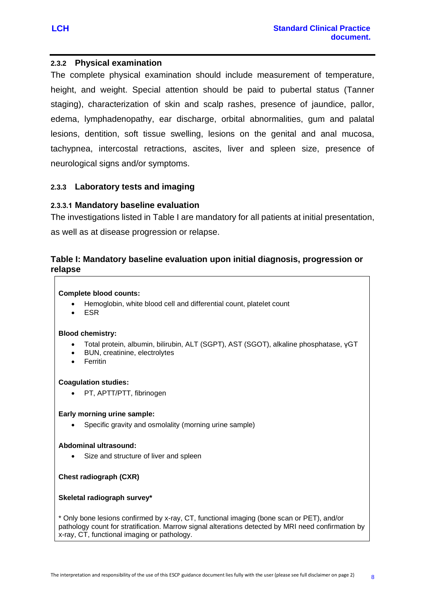### <span id="page-10-0"></span>**2.3.2 Physical examination**

The complete physical examination should include measurement of temperature, height, and weight. Special attention should be paid to pubertal status (Tanner staging), characterization of skin and scalp rashes, presence of jaundice, pallor, edema, lymphadenopathy, ear discharge, orbital abnormalities, gum and palatal lesions, dentition, soft tissue swelling, lesions on the genital and anal mucosa, tachypnea, intercostal retractions, ascites, liver and spleen size, presence of neurological signs and/or symptoms.

#### <span id="page-10-1"></span>**2.3.3 Laboratory tests and imaging**

#### **2.3.3.1 Mandatory baseline evaluation**

The investigations listed in [Table I](#page-10-2) are mandatory for all patients at initial presentation, as well as at disease progression or relapse.

## <span id="page-10-2"></span>**Table I: Mandatory baseline evaluation upon initial diagnosis, progression or relapse**

#### **Complete blood counts:**

- Hemoglobin, white blood cell and differential count, platelet count
- ESR

#### **Blood chemistry:**

- Total protein, albumin, bilirubin, ALT (SGPT), AST (SGOT), alkaline phosphatase, γGT
- BUN, creatinine, electrolytes
- Ferritin

#### **Coagulation studies:**

• PT, APTT/PTT, fibrinogen

#### **Early morning urine sample:**

Specific gravity and osmolality (morning urine sample)

#### **Abdominal ultrasound:**

Size and structure of liver and spleen

**Chest radiograph (CXR)**

#### **Skeletal radiograph survey\***

\* Only bone lesions confirmed by x-ray, CT, functional imaging (bone scan or PET), and/or pathology count for stratification. Marrow signal alterations detected by MRI need confirmation by x-ray, CT, functional imaging or pathology.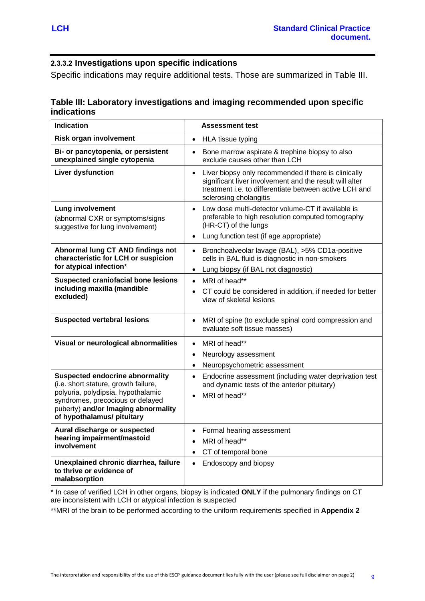### **2.3.3.2 Investigations upon specific indications**

Specific indications may require additional tests. Those are summarized in Table III.

## **Table III: Laboratory investigations and imaging recommended upon specific indications**

| <b>Indication</b>                                                                                                                                                                                                             | <b>Assessment test</b>                                                                                                                                                                                       |
|-------------------------------------------------------------------------------------------------------------------------------------------------------------------------------------------------------------------------------|--------------------------------------------------------------------------------------------------------------------------------------------------------------------------------------------------------------|
| <b>Risk organ involvement</b>                                                                                                                                                                                                 | HLA tissue typing<br>$\bullet$                                                                                                                                                                               |
| Bi- or pancytopenia, or persistent<br>unexplained single cytopenia                                                                                                                                                            | Bone marrow aspirate & trephine biopsy to also<br>$\bullet$<br>exclude causes other than LCH                                                                                                                 |
| <b>Liver dysfunction</b>                                                                                                                                                                                                      | • Liver biopsy only recommended if there is clinically<br>significant liver involvement and the result will alter<br>treatment <i>i.e.</i> to differentiate between active LCH and<br>sclerosing cholangitis |
| <b>Lung involvement</b><br>(abnormal CXR or symptoms/signs<br>suggestive for lung involvement)                                                                                                                                | Low dose multi-detector volume-CT if available is<br>$\bullet$<br>preferable to high resolution computed tomography<br>(HR-CT) of the lungs<br>Lung function test (if age appropriate)<br>$\bullet$          |
| Abnormal lung CT AND findings not<br>characteristic for LCH or suspicion<br>for atypical infection*                                                                                                                           | Bronchoalveolar lavage (BAL), >5% CD1a-positive<br>$\bullet$<br>cells in BAL fluid is diagnostic in non-smokers<br>Lung biopsy (if BAL not diagnostic)<br>$\bullet$                                          |
| <b>Suspected craniofacial bone lesions</b><br>including maxilla (mandible<br>excluded)                                                                                                                                        | MRI of head**<br>$\bullet$<br>CT could be considered in addition, if needed for better<br>view of skeletal lesions                                                                                           |
| <b>Suspected vertebral lesions</b>                                                                                                                                                                                            | MRI of spine (to exclude spinal cord compression and<br>evaluate soft tissue masses)                                                                                                                         |
| Visual or neurological abnormalities                                                                                                                                                                                          | MRI of head**<br>$\bullet$<br>Neurology assessment<br>$\bullet$<br>Neuropsychometric assessment<br>$\bullet$                                                                                                 |
| <b>Suspected endocrine abnormality</b><br>(i.e. short stature, growth failure,<br>polyuria, polydipsia, hypothalamic<br>syndromes, precocious or delayed<br>puberty) and/or Imaging abnormality<br>of hypothalamus/ pituitary | Endocrine assessment (including water deprivation test<br>$\bullet$<br>and dynamic tests of the anterior pituitary)<br>MRI of head**                                                                         |
| Aural discharge or suspected<br>hearing impairment/mastoid<br>involvement                                                                                                                                                     | Formal hearing assessment<br>MRI of head**<br>$\bullet$<br>CT of temporal bone<br>$\bullet$                                                                                                                  |
| Unexplained chronic diarrhea, failure<br>to thrive or evidence of<br>malabsorption                                                                                                                                            | Endoscopy and biopsy<br>$\bullet$                                                                                                                                                                            |

\* In case of verified LCH in other organs, biopsy is indicated **ONLY** if the pulmonary findings on CT are inconsistent with LCH or atypical infection is suspected

\*\*MRI of the brain to be performed according to the uniform requirements specified in **Appendix 2**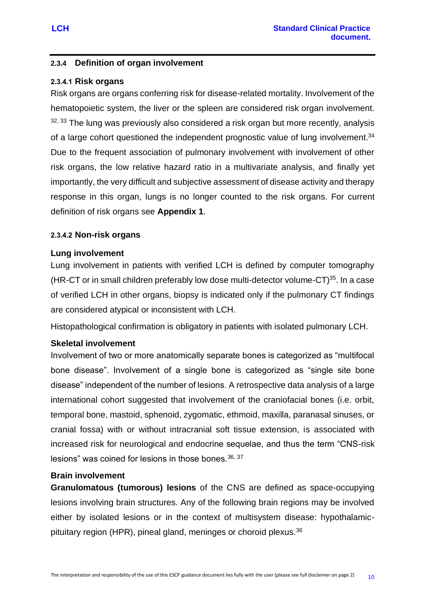### <span id="page-12-0"></span>**2.3.4 Definition of organ involvement**

#### **2.3.4.1 Risk organs**

Risk organs are organs conferring risk for disease-related mortality. Involvement of the hematopoietic system, the liver or the spleen are considered risk organ involvement.  $32, 33$  The lung was previously also considered a risk organ but more recently, analysis of a large cohort questioned the independent prognostic value of lung involvement.<sup>34</sup> Due to the frequent association of pulmonary involvement with involvement of other risk organs, the low relative hazard ratio in a multivariate analysis, and finally yet importantly, the very difficult and subjective assessment of disease activity and therapy response in this organ, lungs is no longer counted to the risk organs. For current definition of risk organs see **Appendix 1**.

#### **2.3.4.2 Non-risk organs**

#### **Lung involvement**

Lung involvement in patients with verified LCH is defined by computer tomography (HR-CT or in small children preferably low dose multi-detector volume-CT) $^{35}$ . In a case of verified LCH in other organs, biopsy is indicated only if the pulmonary CT findings are considered atypical or inconsistent with LCH.

Histopathological confirmation is obligatory in patients with isolated pulmonary LCH.

#### **Skeletal involvement**

Involvement of two or more anatomically separate bones is categorized as "multifocal bone disease". Involvement of a single bone is categorized as "single site bone disease" independent of the number of lesions. A retrospective data analysis of a large international cohort suggested that involvement of the craniofacial bones (i.e. orbit, temporal bone, mastoid, sphenoid, zygomatic, ethmoid, maxilla, paranasal sinuses, or cranial fossa) with or without intracranial soft tissue extension, is associated with increased risk for neurological and endocrine sequelae, and thus the term "CNS-risk lesions" was coined for lesions in those bones  $36, 37$ 

#### **Brain involvement**

**Granulomatous (tumorous) lesions** of the CNS are defined as space-occupying lesions involving brain structures. Any of the following brain regions may be involved either by isolated lesions or in the context of multisystem disease: hypothalamicpituitary region (HPR), pineal gland, meninges or choroid plexus.36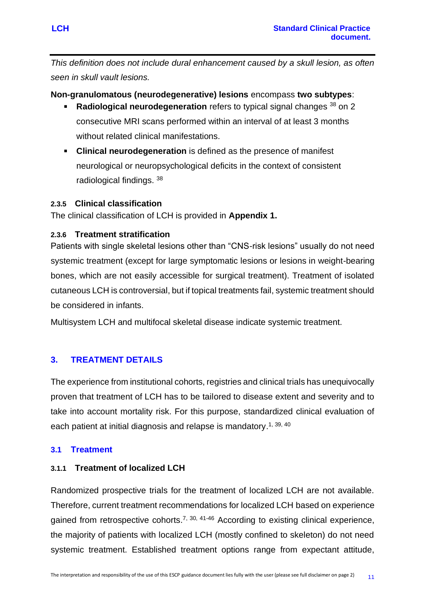*This definition does not include dural enhancement caused by a skull lesion, as often seen in skull vault lesions.*

## **Non-granulomatous (neurodegenerative) lesions** encompass **two subtypes**:

- **Radiological neurodegeneration** refers to typical signal changes <sup>38</sup> on 2  $\mathbf{r}$ consecutive MRI scans performed within an interval of at least 3 months without related clinical manifestations.
- **Clinical neurodegeneration** is defined as the presence of manifest neurological or neuropsychological deficits in the context of consistent radiological findings. <sup>38</sup>

## <span id="page-13-0"></span>**2.3.5 Clinical classification**

The clinical classification of LCH is provided in **Appendix 1.**

## <span id="page-13-1"></span>**2.3.6 Treatment stratification**

Patients with single skeletal lesions other than "CNS-risk lesions" usually do not need systemic treatment (except for large symptomatic lesions or lesions in weight-bearing bones, which are not easily accessible for surgical treatment). Treatment of isolated cutaneous LCH is controversial, but if topical treatments fail, systemic treatment should be considered in infants.

Multisystem LCH and multifocal skeletal disease indicate systemic treatment.

# <span id="page-13-2"></span>**3. TREATMENT DETAILS**

The experience from institutional cohorts, registries and clinical trials has unequivocally proven that treatment of LCH has to be tailored to disease extent and severity and to take into account mortality risk. For this purpose, standardized clinical evaluation of each patient at initial diagnosis and relapse is mandatory.<sup>1, 39, 40</sup>

## <span id="page-13-3"></span>**3.1 Treatment**

## <span id="page-13-4"></span>**3.1.1 Treatment of localized LCH**

Randomized prospective trials for the treatment of localized LCH are not available. Therefore, current treatment recommendations for localized LCH based on experience gained from retrospective cohorts.<sup>7, 30, 41-46</sup> According to existing clinical experience, the majority of patients with localized LCH (mostly confined to skeleton) do not need systemic treatment. Established treatment options range from expectant attitude,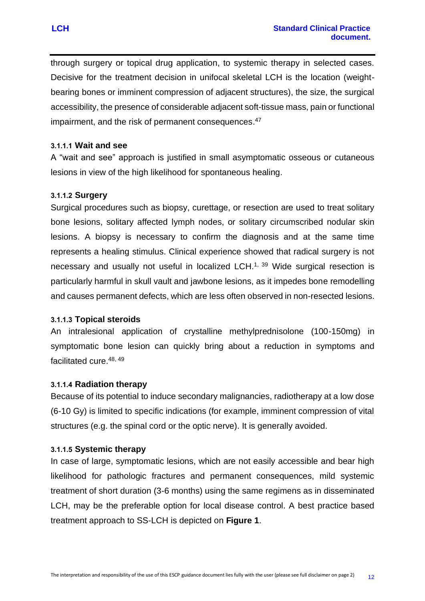through surgery or topical drug application, to systemic therapy in selected cases. Decisive for the treatment decision in unifocal skeletal LCH is the location (weightbearing bones or imminent compression of adjacent structures), the size, the surgical accessibility, the presence of considerable adjacent soft-tissue mass, pain or functional impairment, and the risk of permanent consequences.<sup>47</sup>

#### **3.1.1.1 Wait and see**

A "wait and see" approach is justified in small asymptomatic osseous or cutaneous lesions in view of the high likelihood for spontaneous healing.

#### **3.1.1.2 Surgery**

Surgical procedures such as biopsy, curettage, or resection are used to treat solitary bone lesions, solitary affected lymph nodes, or solitary circumscribed nodular skin lesions. A biopsy is necessary to confirm the diagnosis and at the same time represents a healing stimulus. Clinical experience showed that radical surgery is not necessary and usually not useful in localized LCH.<sup>1, 39</sup> Wide surgical resection is particularly harmful in skull vault and jawbone lesions, as it impedes bone remodelling and causes permanent defects, which are less often observed in non-resected lesions.

#### **3.1.1.3 Topical steroids**

An intralesional application of crystalline methylprednisolone (100-150mg) in symptomatic bone lesion can quickly bring about a reduction in symptoms and facilitated cure.<sup>48, 49</sup>

#### **3.1.1.4 Radiation therapy**

Because of its potential to induce secondary malignancies, radiotherapy at a low dose (6-10 Gy) is limited to specific indications (for example, imminent compression of vital structures (e.g. the spinal cord or the optic nerve). It is generally avoided.

#### **3.1.1.5 Systemic therapy**

In case of large, symptomatic lesions, which are not easily accessible and bear high likelihood for pathologic fractures and permanent consequences, mild systemic treatment of short duration (3-6 months) using the same regimens as in disseminated LCH, may be the preferable option for local disease control. A best practice based treatment approach to SS-LCH is depicted on **Figure 1**.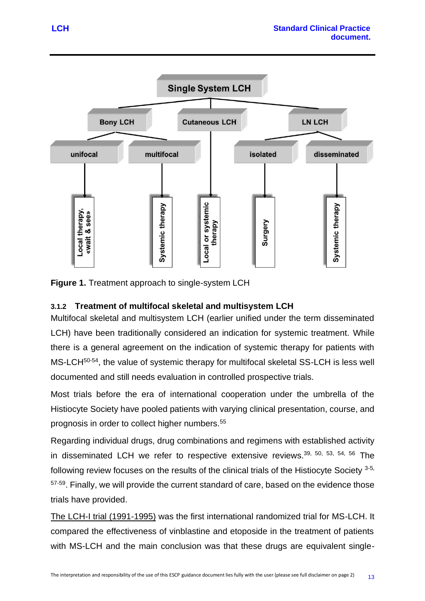

**Figure 1.** Treatment approach to single-system LCH

# <span id="page-15-0"></span>**3.1.2 Treatment of multifocal skeletal and multisystem LCH**

Multifocal skeletal and multisystem LCH (earlier unified under the term disseminated LCH) have been traditionally considered an indication for systemic treatment. While there is a general agreement on the indication of systemic therapy for patients with MS-LCH<sup>50-54</sup>, the value of systemic therapy for multifocal skeletal SS-LCH is less well documented and still needs evaluation in controlled prospective trials.

Most trials before the era of international cooperation under the umbrella of the Histiocyte Society have pooled patients with varying clinical presentation, course, and prognosis in order to collect higher numbers.<sup>55</sup>

Regarding individual drugs, drug combinations and regimens with established activity in disseminated LCH we refer to respective extensive reviews.<sup>39, 50, 53, 54, 56</sup> The following review focuses on the results of the clinical trials of the Histiocyte Society 3-5, <sup>57-59</sup>. Finally, we will provide the current standard of care, based on the evidence those trials have provided.

The LCH-I trial (1991-1995) was the first international randomized trial for MS-LCH. It compared the effectiveness of vinblastine and etoposide in the treatment of patients with MS-LCH and the main conclusion was that these drugs are equivalent single-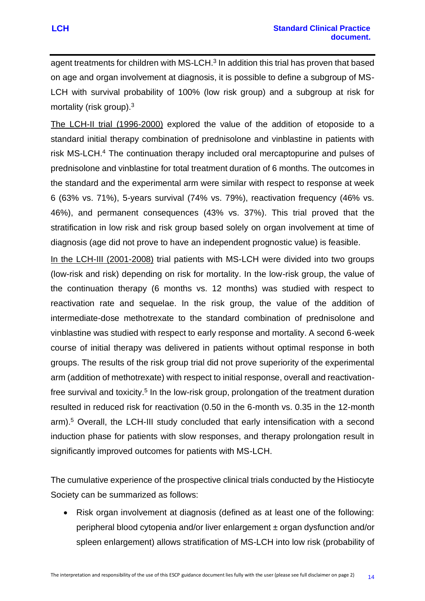agent treatments for children with MS-LCH. $3$  In addition this trial has proven that based on age and organ involvement at diagnosis, it is possible to define a subgroup of MS-LCH with survival probability of 100% (low risk group) and a subgroup at risk for mortality (risk group).<sup>3</sup>

The LCH-II trial (1996-2000) explored the value of the addition of etoposide to a standard initial therapy combination of prednisolone and vinblastine in patients with risk MS-LCH.<sup>4</sup> The continuation therapy included oral mercaptopurine and pulses of prednisolone and vinblastine for total treatment duration of 6 months. The outcomes in the standard and the experimental arm were similar with respect to response at week 6 (63% vs. 71%), 5-years survival (74% vs. 79%), reactivation frequency (46% vs. 46%), and permanent consequences (43% vs. 37%). This trial proved that the stratification in low risk and risk group based solely on organ involvement at time of diagnosis (age did not prove to have an independent prognostic value) is feasible.

In the LCH-III (2001-2008) trial patients with MS-LCH were divided into two groups (low-risk and risk) depending on risk for mortality. In the low-risk group, the value of the continuation therapy (6 months vs. 12 months) was studied with respect to reactivation rate and sequelae. In the risk group, the value of the addition of intermediate-dose methotrexate to the standard combination of prednisolone and vinblastine was studied with respect to early response and mortality. A second 6-week course of initial therapy was delivered in patients without optimal response in both groups. The results of the risk group trial did not prove superiority of the experimental arm (addition of methotrexate) with respect to initial response, overall and reactivationfree survival and toxicity.<sup>5</sup> In the low-risk group, prolongation of the treatment duration resulted in reduced risk for reactivation (0.50 in the 6-month vs. 0.35 in the 12-month arm).<sup>5</sup> Overall, the LCH-III study concluded that early intensification with a second induction phase for patients with slow responses, and therapy prolongation result in significantly improved outcomes for patients with MS-LCH.

The cumulative experience of the prospective clinical trials conducted by the Histiocyte Society can be summarized as follows:

• Risk organ involvement at diagnosis (defined as at least one of the following: peripheral blood cytopenia and/or liver enlargement ± organ dysfunction and/or spleen enlargement) allows stratification of MS-LCH into low risk (probability of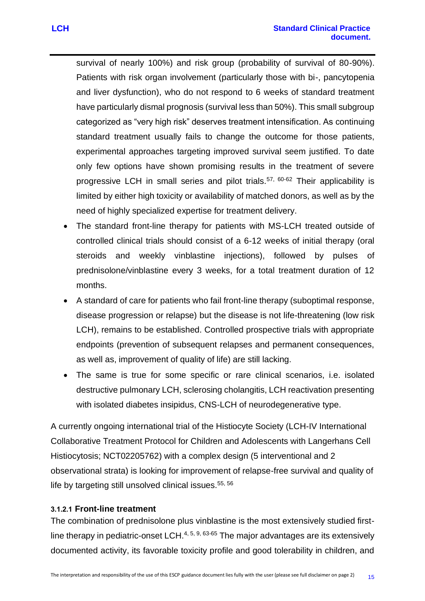survival of nearly 100%) and risk group (probability of survival of 80-90%). Patients with risk organ involvement (particularly those with bi-, pancytopenia and liver dysfunction), who do not respond to 6 weeks of standard treatment have particularly dismal prognosis (survival less than 50%). This small subgroup categorized as "very high risk" deserves treatment intensification. As continuing standard treatment usually fails to change the outcome for those patients, experimental approaches targeting improved survival seem justified. To date only few options have shown promising results in the treatment of severe progressive LCH in small series and pilot trials.<sup>57, 60-62</sup> Their applicability is limited by either high toxicity or availability of matched donors, as well as by the need of highly specialized expertise for treatment delivery.

- The standard front-line therapy for patients with MS-LCH treated outside of controlled clinical trials should consist of a 6-12 weeks of initial therapy (oral steroids and weekly vinblastine injections), followed by pulses of prednisolone/vinblastine every 3 weeks, for a total treatment duration of 12 months.
- A standard of care for patients who fail front-line therapy (suboptimal response, disease progression or relapse) but the disease is not life-threatening (low risk LCH), remains to be established. Controlled prospective trials with appropriate endpoints (prevention of subsequent relapses and permanent consequences, as well as, improvement of quality of life) are still lacking.
- The same is true for some specific or rare clinical scenarios, i.e. isolated destructive pulmonary LCH, sclerosing cholangitis, LCH reactivation presenting with isolated diabetes insipidus, CNS-LCH of neurodegenerative type.

A currently ongoing international trial of the Histiocyte Society (LCH-IV International Collaborative Treatment Protocol for Children and Adolescents with Langerhans Cell Histiocytosis; NCT02205762) with a complex design (5 interventional and 2 observational strata) is looking for improvement of relapse-free survival and quality of life by targeting still unsolved clinical issues.<sup>55, 56</sup>

#### **3.1.2.1 Front-line treatment**

The combination of prednisolone plus vinblastine is the most extensively studied firstline therapy in pediatric-onset LCH.<sup>4, 5, 9, 63-65</sup> The major advantages are its extensively documented activity, its favorable toxicity profile and good tolerability in children, and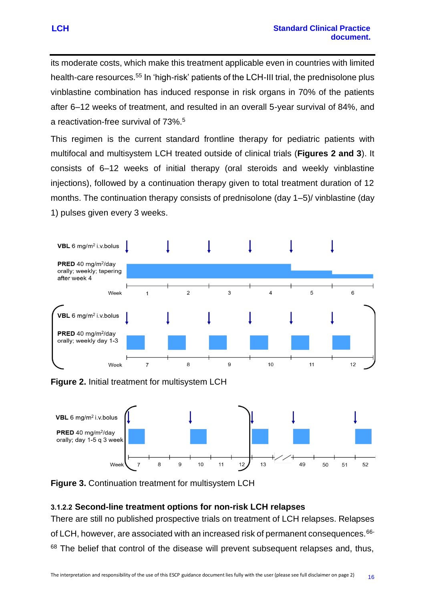its moderate costs, which make this treatment applicable even in countries with limited health-care resources.<sup>55</sup> In 'high-risk' patients of the LCH-III trial, the prednisolone plus vinblastine combination has induced response in risk organs in 70% of the patients after 6–12 weeks of treatment, and resulted in an overall 5-year survival of 84%, and a reactivation-free survival of 73%.<sup>5</sup>

This regimen is the current standard frontline therapy for pediatric patients with multifocal and multisystem LCH treated outside of clinical trials (**Figures 2 and 3**). It consists of 6–12 weeks of initial therapy (oral steroids and weekly vinblastine injections), followed by a continuation therapy given to total treatment duration of 12 months. The continuation therapy consists of prednisolone (day 1–5)/ vinblastine (day 1) pulses given every 3 weeks.



**Figure 2.** Initial treatment for multisystem LCH



**Figure 3.** Continuation treatment for multisystem LCH

## **3.1.2.2 Second-line treatment options for non-risk LCH relapses**

There are still no published prospective trials on treatment of LCH relapses. Relapses of LCH, however, are associated with an increased risk of permanent consequences.<sup>66-</sup> <sup>68</sup> The belief that control of the disease will prevent subsequent relapses and, thus,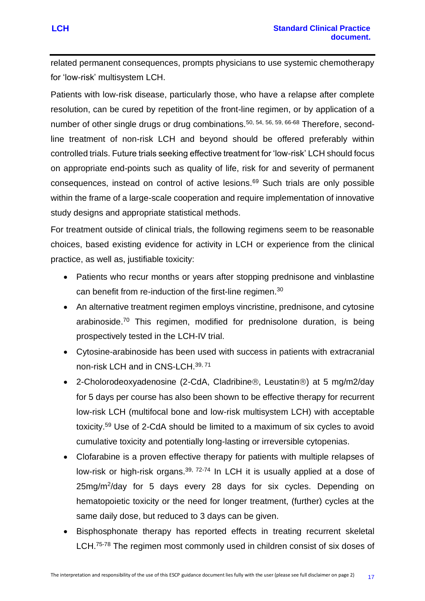related permanent consequences, prompts physicians to use systemic chemotherapy for 'low-risk' multisystem LCH.

Patients with low-risk disease, particularly those, who have a relapse after complete resolution, can be cured by repetition of the front-line regimen, or by application of a number of other single drugs or drug combinations.<sup>50, 54, 56, 59, 66-68</sup> Therefore, secondline treatment of non-risk LCH and beyond should be offered preferably within controlled trials. Future trials seeking effective treatment for 'low-risk' LCH should focus on appropriate end-points such as quality of life, risk for and severity of permanent consequences, instead on control of active lesions.<sup>69</sup> Such trials are only possible within the frame of a large-scale cooperation and require implementation of innovative study designs and appropriate statistical methods.

For treatment outside of clinical trials, the following regimens seem to be reasonable choices, based existing evidence for activity in LCH or experience from the clinical practice, as well as, justifiable toxicity:

- Patients who recur months or years after stopping prednisone and vinblastine can benefit from re-induction of the first-line regimen.<sup>30</sup>
- An alternative treatment regimen employs vincristine, prednisone, and cytosine arabinoside. <sup>70</sup> This regimen, modified for prednisolone duration, is being prospectively tested in the LCH-IV trial.
- Cytosine-arabinoside has been used with success in patients with extracranial non-risk LCH and in CNS-LCH.39, 71
- 2-Cholorodeoxyadenosine (2-CdA, Cladribine®, Leustatin®) at 5 mg/m2/day for 5 days per course has also been shown to be effective therapy for recurrent low-risk LCH (multifocal bone and low-risk multisystem LCH) with acceptable toxicity.<sup>59</sup> Use of 2-CdA should be limited to a maximum of six cycles to avoid cumulative toxicity and potentially long-lasting or irreversible cytopenias.
- Clofarabine is a proven effective therapy for patients with multiple relapses of low-risk or high-risk organs.<sup>39, 72-74</sup> In LCH it is usually applied at a dose of 25mg/m<sup>2</sup>/day for 5 days every 28 days for six cycles. Depending on hematopoietic toxicity or the need for longer treatment, (further) cycles at the same daily dose, but reduced to 3 days can be given.
- Bisphosphonate therapy has reported effects in treating recurrent skeletal LCH.<sup>75-78</sup> The regimen most commonly used in children consist of six doses of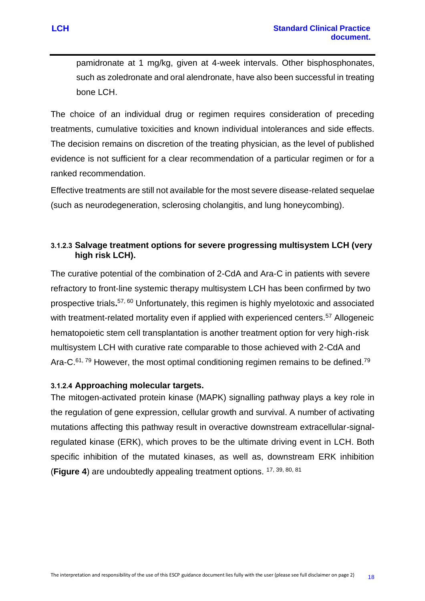pamidronate at 1 mg/kg, given at 4-week intervals. Other bisphosphonates, such as zoledronate and oral alendronate, have also been successful in treating bone LCH.

The choice of an individual drug or regimen requires consideration of preceding treatments, cumulative toxicities and known individual intolerances and side effects. The decision remains on discretion of the treating physician, as the level of published evidence is not sufficient for a clear recommendation of a particular regimen or for a ranked recommendation.

Effective treatments are still not available for the most severe disease-related sequelae (such as neurodegeneration, sclerosing cholangitis, and lung honeycombing).

## **3.1.2.3 Salvage treatment options for severe progressing multisystem LCH (very high risk LCH).**

The curative potential of the combination of 2-CdA and Ara-C in patients with severe refractory to front-line systemic therapy multisystem LCH has been confirmed by two prospective trials**.** 57, 60 Unfortunately, this regimen is highly myelotoxic and associated with treatment-related mortality even if applied with experienced centers.<sup>57</sup> Allogeneic hematopoietic stem cell transplantation is another treatment option for very high-risk multisystem LCH with curative rate comparable to those achieved with 2-CdA and Ara-C. $61, 79$  However, the most optimal conditioning regimen remains to be defined.<sup>79</sup>

## **3.1.2.4 Approaching molecular targets.**

The mitogen-activated protein kinase (MAPK) signalling pathway plays a key role in the regulation of gene expression, cellular growth and survival. A number of activating mutations affecting this pathway result in overactive downstream extracellular-signalregulated kinase (ERK), which proves to be the ultimate driving event in LCH. Both specific inhibition of the mutated kinases, as well as, downstream ERK inhibition (**Figure 4**) are undoubtedly appealing treatment options. 17, 39, 80, 81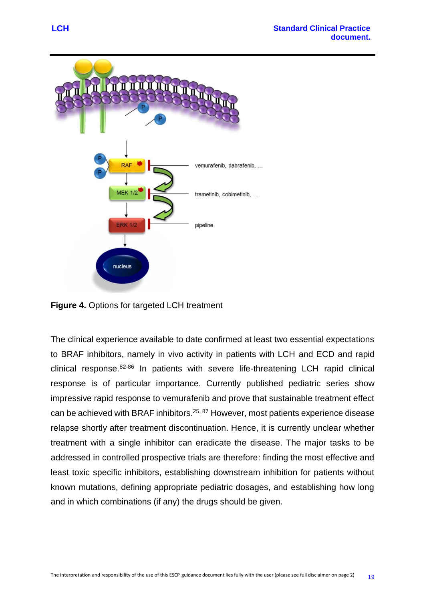

**Figure 4.** Options for targeted LCH treatment

The clinical experience available to date confirmed at least two essential expectations to BRAF inhibitors, namely in vivo activity in patients with LCH and ECD and rapid clinical response.82-86 In patients with severe life-threatening LCH rapid clinical response is of particular importance. Currently published pediatric series show impressive rapid response to vemurafenib and prove that sustainable treatment effect can be achieved with BRAF inhibitors.<sup>25, 87</sup> However, most patients experience disease relapse shortly after treatment discontinuation. Hence, it is currently unclear whether treatment with a single inhibitor can eradicate the disease. The major tasks to be addressed in controlled prospective trials are therefore: finding the most effective and least toxic specific inhibitors, establishing downstream inhibition for patients without known mutations, defining appropriate pediatric dosages, and establishing how long and in which combinations (if any) the drugs should be given.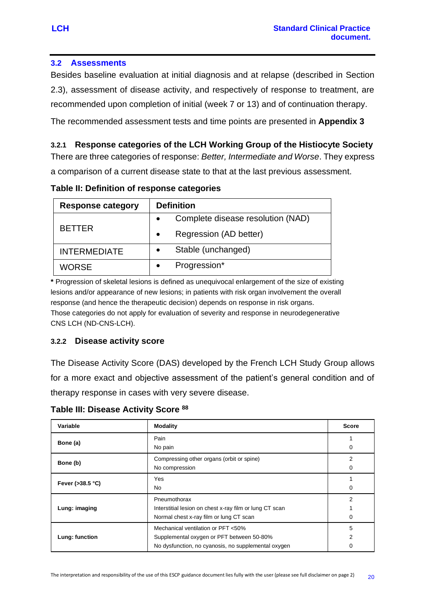### <span id="page-22-0"></span>**3.2 Assessments**

Besides baseline evaluation at initial diagnosis and at relapse (described in Section 2.3), assessment of disease activity, and respectively of response to treatment, are recommended upon completion of initial (week 7 or 13) and of continuation therapy.

The recommended assessment tests and time points are presented in **Appendix 3**

## <span id="page-22-1"></span>**3.2.1 Response categories of the LCH Working Group of the Histiocyte Society**

There are three categories of response: *Better, Intermediate and Worse*. They express a comparison of a current disease state to that at the last previous assessment.

| <b>Response category</b> | <b>Definition</b>                   |  |
|--------------------------|-------------------------------------|--|
|                          | Complete disease resolution (NAD)   |  |
| <b>BETTER</b>            | Regression (AD better)<br>$\bullet$ |  |
| <b>INTERMEDIATE</b>      | Stable (unchanged)<br>$\bullet$     |  |
| <b>WORSE</b>             | Progression*                        |  |

**Table II: Definition of response categories**

**\*** Progression of skeletal lesions is defined as unequivocal enlargement of the size of existing lesions and/or appearance of new lesions; in patients with risk organ involvement the overall response (and hence the therapeutic decision) depends on response in risk organs. Those categories do not apply for evaluation of severity and response in neurodegenerative CNS LCH (ND-CNS-LCH).

#### <span id="page-22-2"></span>**3.2.2 Disease activity score**

The Disease Activity Score (DAS) developed by the French LCH Study Group allows for a more exact and objective assessment of the patient's general condition and of therapy response in cases with very severe disease.

**Table III: Disease Activity Score <sup>88</sup>**

| Variable            | <b>Modality</b>                                                                                                                        | <b>Score</b> |
|---------------------|----------------------------------------------------------------------------------------------------------------------------------------|--------------|
| Bone (a)            | Pain<br>No pain                                                                                                                        | 0            |
| Bone (b)            | Compressing other organs (orbit or spine)<br>No compression                                                                            | 2<br>0       |
| Fever ( $>38.5$ °C) | <b>Yes</b><br><b>No</b>                                                                                                                |              |
| Lung: imaging       | Pneumothorax<br>Interstitial lesion on chest x-ray film or lung CT scan<br>Normal chest x-ray film or lung CT scan                     | 2            |
| Lung: function      | Mechanical ventilation or PFT <50%<br>Supplemental oxygen or PFT between 50-80%<br>No dysfunction, no cyanosis, no supplemental oxygen | 5<br>2       |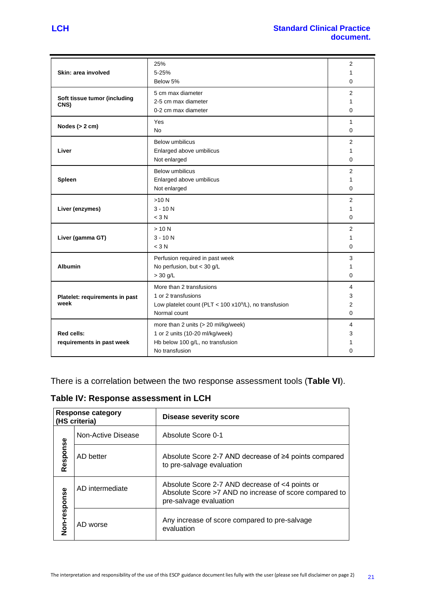| Skin: area involved                  | 25%<br>$5 - 25%$                                          | 2<br>1         |
|--------------------------------------|-----------------------------------------------------------|----------------|
|                                      | Below 5%                                                  | 0              |
|                                      | 5 cm max diameter                                         | 2              |
| Soft tissue tumor (including<br>CNS) | 2-5 cm max diameter                                       | 1              |
|                                      | 0-2 cm max diameter                                       | 0              |
|                                      | Yes                                                       | 1              |
| Nodes $(> 2 cm)$                     | <b>No</b>                                                 | $\Omega$       |
|                                      | <b>Below umbilicus</b>                                    | 2              |
| Liver                                | Enlarged above umbilicus                                  | 1              |
|                                      | Not enlarged                                              | $\Omega$       |
|                                      | <b>Below umbilicus</b>                                    | 2              |
| Spleen                               | Enlarged above umbilicus                                  | 1              |
|                                      | Not enlarged                                              | 0              |
|                                      | >10 N                                                     | 2              |
| Liver (enzymes)                      | $3 - 10N$                                                 | 1              |
|                                      | $<$ 3 N                                                   | 0              |
|                                      | >10 N                                                     | 2              |
| Liver (gamma GT)                     | $3 - 10 N$                                                | 1              |
|                                      | $<$ 3 N                                                   | 0              |
|                                      | Perfusion required in past week                           | 3              |
| <b>Albumin</b>                       | No perfusion, but < 30 g/L                                | 1              |
|                                      | $>$ 30 g/L                                                | 0              |
|                                      | More than 2 transfusions                                  | 4              |
| Platelet: requirements in past       | 1 or 2 transfusions                                       | 3              |
| week                                 | Low platelet count (PLT < $100 x10^9$ /L), no transfusion | $\overline{2}$ |
|                                      | Normal count                                              | 0              |
|                                      | more than 2 units (> 20 ml/kg/week)                       | 4              |
| <b>Red cells:</b>                    | 1 or 2 units (10-20 ml/kg/week)                           | 3              |
| requirements in past week            | Hb below 100 g/L, no transfusion                          | 1              |
|                                      | No transfusion                                            | 0              |

There is a correlation between the two response assessment tools (**Table VI**).

**Table IV: Response assessment in LCH**

|                    | <b>Response category</b><br>(HS criteria) | <b>Disease severity score</b>                                                                                                       |
|--------------------|-------------------------------------------|-------------------------------------------------------------------------------------------------------------------------------------|
| Non-Active Disease |                                           | Absolute Score 0-1                                                                                                                  |
| Response           | AD better                                 | Absolute Score 2-7 AND decrease of ≥4 points compared<br>to pre-salvage evaluation                                                  |
| AD intermediate    |                                           | Absolute Score 2-7 AND decrease of <4 points or<br>Absolute Score >7 AND no increase of score compared to<br>pre-salvage evaluation |
| Non-response       | AD worse                                  | Any increase of score compared to pre-salvage<br>evaluation                                                                         |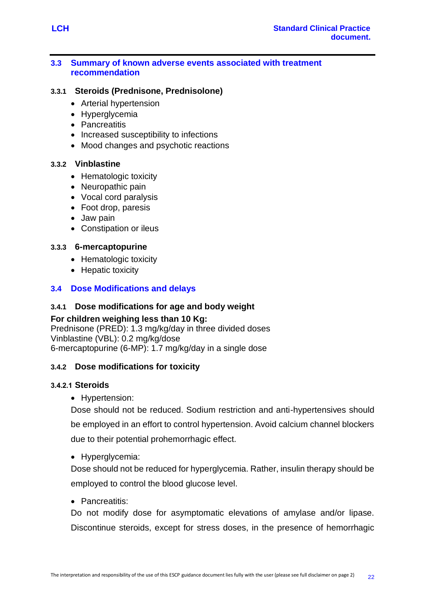#### <span id="page-24-0"></span>**3.3 Summary of known adverse events associated with treatment recommendation**

#### <span id="page-24-1"></span>**3.3.1 Steroids (Prednisone, Prednisolone)**

- Arterial hypertension
- Hyperglycemia
- Pancreatitis
- Increased susceptibility to infections
- Mood changes and psychotic reactions

#### <span id="page-24-2"></span>**3.3.2 Vinblastine**

- Hematologic toxicity
- Neuropathic pain
- Vocal cord paralysis
- Foot drop, paresis
- Jaw pain
- Constipation or ileus

#### <span id="page-24-3"></span>**3.3.3 6-mercaptopurine**

- Hematologic toxicity
- Hepatic toxicity

## <span id="page-24-4"></span>**3.4 Dose Modifications and delays**

#### <span id="page-24-5"></span>**3.4.1 Dose modifications for age and body weight**

#### **For children weighing less than 10 Kg:**

Prednisone (PRED): 1.3 mg/kg/day in three divided doses Vinblastine (VBL): 0.2 mg/kg/dose 6-mercaptopurine (6-MP): 1.7 mg/kg/day in a single dose

## <span id="page-24-6"></span>**3.4.2 Dose modifications for toxicity**

#### **3.4.2.1 Steroids**

• Hypertension:

Dose should not be reduced. Sodium restriction and anti-hypertensives should be employed in an effort to control hypertension. Avoid calcium channel blockers due to their potential prohemorrhagic effect.

• Hyperglycemia:

Dose should not be reduced for hyperglycemia. Rather, insulin therapy should be employed to control the blood glucose level.

#### • Pancreatitis:

Do not modify dose for asymptomatic elevations of amylase and/or lipase. Discontinue steroids, except for stress doses, in the presence of hemorrhagic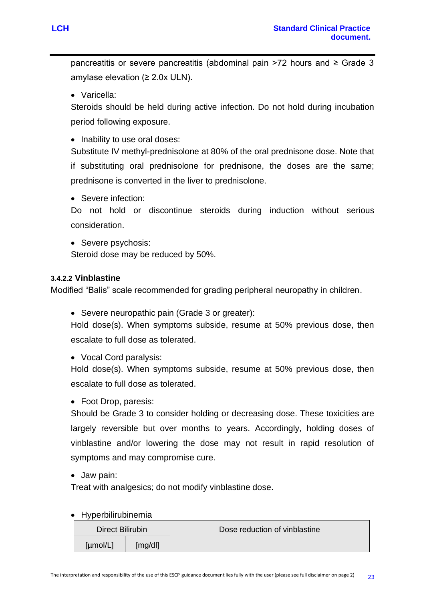pancreatitis or severe pancreatitis (abdominal pain >72 hours and ≥ Grade 3 amylase elevation  $(≥ 2.0x ULN)$ .

• Varicella:

Steroids should be held during active infection. Do not hold during incubation period following exposure.

• Inability to use oral doses:

Substitute IV methyl-prednisolone at 80% of the oral prednisone dose. Note that if substituting oral prednisolone for prednisone, the doses are the same; prednisone is converted in the liver to prednisolone.

• Severe infection:

Do not hold or discontinue steroids during induction without serious consideration.

• Severe psychosis:

Steroid dose may be reduced by 50%.

## **3.4.2.2 Vinblastine**

Modified "Balis" scale recommended for grading peripheral neuropathy in children.

• Severe neuropathic pain (Grade 3 or greater):

Hold dose(s). When symptoms subside, resume at 50% previous dose, then escalate to full dose as tolerated.

• Vocal Cord paralysis:

Hold dose(s). When symptoms subside, resume at 50% previous dose, then escalate to full dose as tolerated.

• Foot Drop, paresis:

Should be Grade 3 to consider holding or decreasing dose. These toxicities are largely reversible but over months to years. Accordingly, holding doses of vinblastine and/or lowering the dose may not result in rapid resolution of symptoms and may compromise cure.

• Jaw pain:

Treat with analgesics; do not modify vinblastine dose.

• Hyperbilirubinemia

| Direct Bilirubin    |  | Dose reduction of vinblastine |
|---------------------|--|-------------------------------|
| [µmol/L]<br>[mg/dl] |  |                               |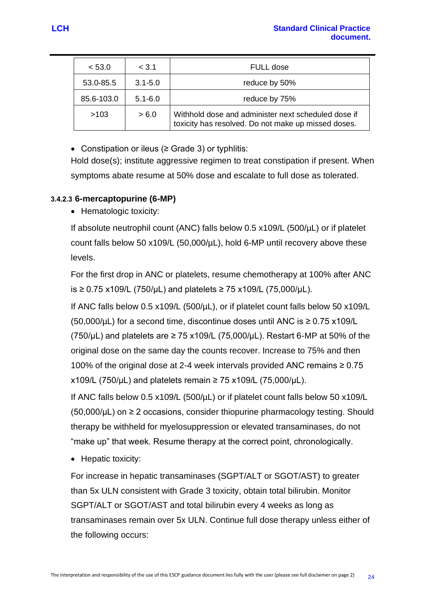| < 53.0     | < 3.1       | FULL dose                                                                                                  |  |
|------------|-------------|------------------------------------------------------------------------------------------------------------|--|
| 53.0-85.5  | $3.1 - 5.0$ | reduce by 50%                                                                                              |  |
| 85.6-103.0 | $5.1 - 6.0$ | reduce by 75%                                                                                              |  |
| >103       | > 6.0       | Withhold dose and administer next scheduled dose if<br>toxicity has resolved. Do not make up missed doses. |  |

• Constipation or ileus (≥ Grade 3) or typhlitis:

Hold dose(s); institute aggressive regimen to treat constipation if present. When symptoms abate resume at 50% dose and escalate to full dose as tolerated.

#### **3.4.2.3 6-mercaptopurine (6-MP)**

• Hematologic toxicity:

If absolute neutrophil count (ANC) falls below 0.5 x109/L (500/µL) or if platelet count falls below 50 x109/L (50,000/µL), hold 6-MP until recovery above these levels.

For the first drop in ANC or platelets, resume chemotherapy at 100% after ANC is ≥ 0.75 x109/L (750/µL) and platelets ≥ 75 x109/L (75,000/µL).

If ANC falls below 0.5 x109/L (500/µL), or if platelet count falls below 50 x109/L (50,000/ $\mu$ L) for a second time, discontinue doses until ANC is  $\geq$  0.75 x109/L (750/ $\mu$ L) and platelets are  $\geq$  75 x109/L (75,000/ $\mu$ L). Restart 6-MP at 50% of the original dose on the same day the counts recover. Increase to 75% and then 100% of the original dose at 2-4 week intervals provided ANC remains ≥ 0.75  $x109/L$  (750/µL) and platelets remain ≥ 75 x109/L (75,000/µL).

If ANC falls below 0.5 x109/L (500/µL) or if platelet count falls below 50 x109/L  $(50,000/\mu L)$  on  $\geq 2$  occasions, consider thiopurine pharmacology testing. Should therapy be withheld for myelosuppression or elevated transaminases, do not "make up" that week. Resume therapy at the correct point, chronologically.

• Hepatic toxicity:

For increase in hepatic transaminases (SGPT/ALT or SGOT/AST) to greater than 5x ULN consistent with Grade 3 toxicity, obtain total bilirubin. Monitor SGPT/ALT or SGOT/AST and total bilirubin every 4 weeks as long as transaminases remain over 5x ULN. Continue full dose therapy unless either of the following occurs: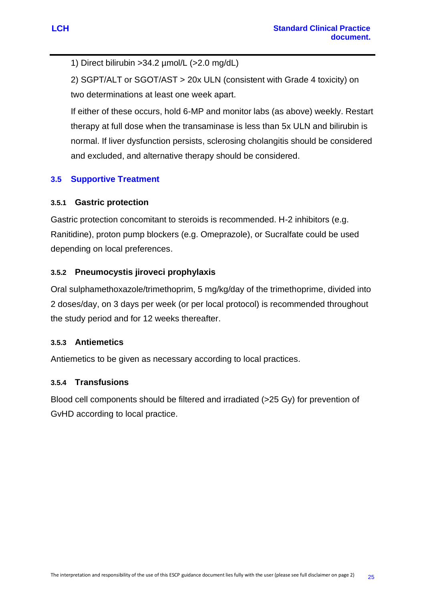1) Direct bilirubin >34.2 µmol/L (>2.0 mg/dL)

2) SGPT/ALT or SGOT/AST > 20x ULN (consistent with Grade 4 toxicity) on two determinations at least one week apart.

If either of these occurs, hold 6-MP and monitor labs (as above) weekly. Restart therapy at full dose when the transaminase is less than 5x ULN and bilirubin is normal. If liver dysfunction persists, sclerosing cholangitis should be considered and excluded, and alternative therapy should be considered.

# <span id="page-27-0"></span>**3.5 Supportive Treatment**

## <span id="page-27-1"></span>**3.5.1 Gastric protection**

Gastric protection concomitant to steroids is recommended. H-2 inhibitors (e.g. Ranitidine), proton pump blockers (e.g. Omeprazole), or Sucralfate could be used depending on local preferences.

## <span id="page-27-2"></span>**3.5.2 Pneumocystis jiroveci prophylaxis**

Oral sulphamethoxazole/trimethoprim, 5 mg/kg/day of the trimethoprime, divided into 2 doses/day, on 3 days per week (or per local protocol) is recommended throughout the study period and for 12 weeks thereafter.

## <span id="page-27-3"></span>**3.5.3 Antiemetics**

Antiemetics to be given as necessary according to local practices.

## <span id="page-27-4"></span>**3.5.4 Transfusions**

Blood cell components should be filtered and irradiated (>25 Gy) for prevention of GvHD according to local practice.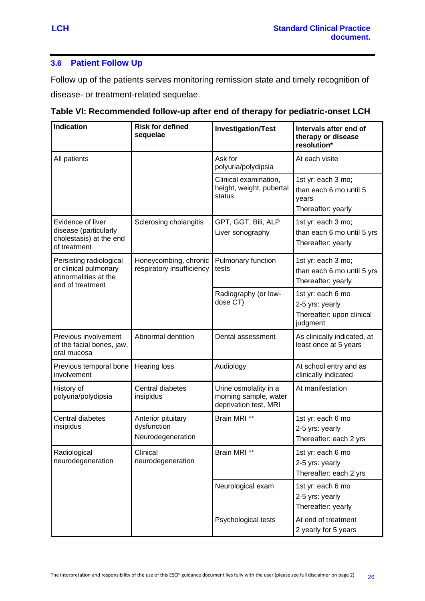## <span id="page-28-0"></span>**3.6 Patient Follow Up**

Follow up of the patients serves monitoring remission state and timely recognition of disease- or treatment-related sequelae.

| <b>Indication</b>                                                                            | <b>Risk for defined</b><br>sequelae                    | <b>Investigation/Test</b>                                               | Intervals after end of<br>therapy or disease<br>resolution*                   |
|----------------------------------------------------------------------------------------------|--------------------------------------------------------|-------------------------------------------------------------------------|-------------------------------------------------------------------------------|
| All patients                                                                                 |                                                        | Ask for<br>polyuria/polydipsia                                          | At each visite                                                                |
|                                                                                              |                                                        | Clinical examination,<br>height, weight, pubertal<br>status             | 1st yr: each 3 mo;<br>than each 6 mo until 5<br>years<br>Thereafter: yearly   |
| Evidence of liver<br>disease (particularly<br>cholestasis) at the end<br>of treatment        | Sclerosing cholangitis                                 | GPT, GGT, Bili, ALP<br>Liver sonography                                 | 1st yr: each 3 mo;<br>than each 6 mo until 5 yrs<br>Thereafter: yearly        |
| Persisting radiological<br>or clinical pulmonary<br>abnormalities at the<br>end of treatment | Honeycombing, chronic<br>respiratory insufficiency     | Pulmonary function<br>tests                                             | 1st yr: each 3 mo;<br>than each 6 mo until 5 yrs<br>Thereafter: yearly        |
|                                                                                              |                                                        | Radiography (or low-<br>dose CT)                                        | 1st yr: each 6 mo<br>2-5 yrs: yearly<br>Thereafter: upon clinical<br>judgment |
| Previous involvement<br>of the facial bones, jaw,<br>oral mucosa                             | Abnormal dentition                                     | Dental assessment                                                       | As clinically indicated, at<br>least once at 5 years                          |
| Previous temporal bone<br>involvement                                                        | <b>Hearing loss</b>                                    | Audiology                                                               | At school entry and as<br>clinically indicated                                |
| History of<br>polyuria/polydipsia                                                            | Central diabetes<br>insipidus                          | Urine osmolality in a<br>morning sample, water<br>deprivation test, MRI | At manifestation                                                              |
| Central diabetes<br>insipidus                                                                | Anterior pituitary<br>dysfunction<br>Neurodegeneration | Brain MRI **                                                            | 1st yr: each 6 mo<br>2-5 yrs: yearly<br>Thereafter: each 2 yrs                |
| Radiological<br>neurodegeneration                                                            | Clinical<br>neurodegeneration                          | Brain MRI **                                                            | 1st yr: each 6 mo<br>2-5 yrs: yearly<br>Thereafter: each 2 yrs                |
|                                                                                              |                                                        | Neurological exam                                                       | 1st yr: each 6 mo<br>2-5 yrs: yearly<br>Thereafter: yearly                    |
|                                                                                              |                                                        | Psychological tests                                                     | At end of treatment<br>2 yearly for 5 years                                   |

**Table VI: Recommended follow-up after end of therapy for pediatric-onset LCH**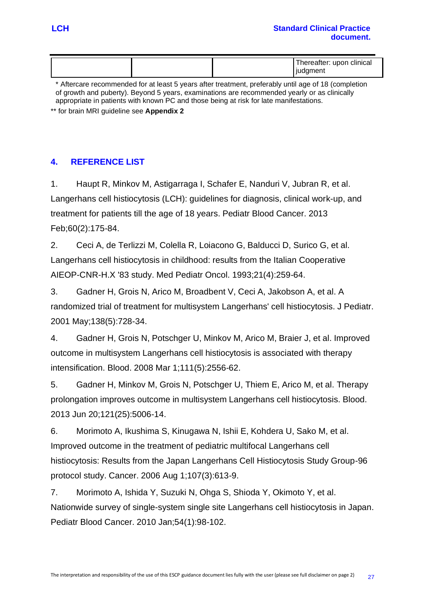| hereafter: upon clinical<br><b>judgment</b> |  |  |
|---------------------------------------------|--|--|
|                                             |  |  |

\* Aftercare recommended for at least 5 years after treatment, preferably until age of 18 (completion of growth and puberty). Beyond 5 years, examinations are recommended yearly or as clinically appropriate in patients with known PC and those being at risk for late manifestations.

\*\* for brain MRI guideline see **Appendix 2**

# <span id="page-29-0"></span>**4. REFERENCE LIST**

1. Haupt R, Minkov M, Astigarraga I, Schafer E, Nanduri V, Jubran R, et al. Langerhans cell histiocytosis (LCH): guidelines for diagnosis, clinical work-up, and treatment for patients till the age of 18 years. Pediatr Blood Cancer. 2013 Feb;60(2):175-84.

2. Ceci A, de Terlizzi M, Colella R, Loiacono G, Balducci D, Surico G, et al. Langerhans cell histiocytosis in childhood: results from the Italian Cooperative AIEOP-CNR-H.X '83 study. Med Pediatr Oncol. 1993;21(4):259-64.

3. Gadner H, Grois N, Arico M, Broadbent V, Ceci A, Jakobson A, et al. A randomized trial of treatment for multisystem Langerhans' cell histiocytosis. J Pediatr. 2001 May;138(5):728-34.

4. Gadner H, Grois N, Potschger U, Minkov M, Arico M, Braier J, et al. Improved outcome in multisystem Langerhans cell histiocytosis is associated with therapy intensification. Blood. 2008 Mar 1;111(5):2556-62.

5. Gadner H, Minkov M, Grois N, Potschger U, Thiem E, Arico M, et al. Therapy prolongation improves outcome in multisystem Langerhans cell histiocytosis. Blood. 2013 Jun 20;121(25):5006-14.

6. Morimoto A, Ikushima S, Kinugawa N, Ishii E, Kohdera U, Sako M, et al. Improved outcome in the treatment of pediatric multifocal Langerhans cell histiocytosis: Results from the Japan Langerhans Cell Histiocytosis Study Group-96 protocol study. Cancer. 2006 Aug 1;107(3):613-9.

7. Morimoto A, Ishida Y, Suzuki N, Ohga S, Shioda Y, Okimoto Y, et al. Nationwide survey of single-system single site Langerhans cell histiocytosis in Japan. Pediatr Blood Cancer. 2010 Jan;54(1):98-102.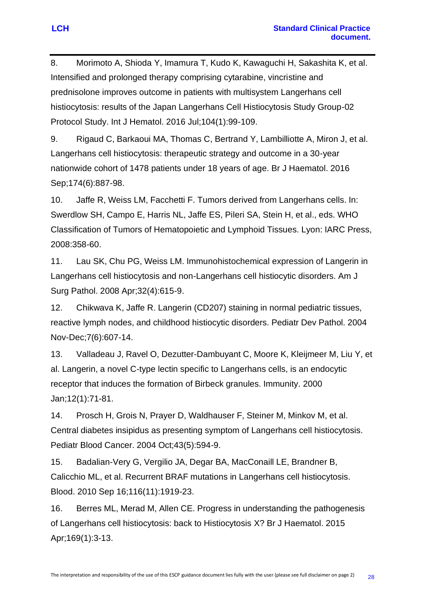8. Morimoto A, Shioda Y, Imamura T, Kudo K, Kawaguchi H, Sakashita K, et al. Intensified and prolonged therapy comprising cytarabine, vincristine and prednisolone improves outcome in patients with multisystem Langerhans cell histiocytosis: results of the Japan Langerhans Cell Histiocytosis Study Group-02 Protocol Study. Int J Hematol. 2016 Jul;104(1):99-109.

9. Rigaud C, Barkaoui MA, Thomas C, Bertrand Y, Lambilliotte A, Miron J, et al. Langerhans cell histiocytosis: therapeutic strategy and outcome in a 30-year nationwide cohort of 1478 patients under 18 years of age. Br J Haematol. 2016 Sep;174(6):887-98.

10. Jaffe R, Weiss LM, Facchetti F. Tumors derived from Langerhans cells. In: Swerdlow SH, Campo E, Harris NL, Jaffe ES, Pileri SA, Stein H, et al., eds. WHO Classification of Tumors of Hematopoietic and Lymphoid Tissues. Lyon: IARC Press, 2008:358-60.

11. Lau SK, Chu PG, Weiss LM. Immunohistochemical expression of Langerin in Langerhans cell histiocytosis and non-Langerhans cell histiocytic disorders. Am J Surg Pathol. 2008 Apr;32(4):615-9.

12. Chikwava K, Jaffe R. Langerin (CD207) staining in normal pediatric tissues, reactive lymph nodes, and childhood histiocytic disorders. Pediatr Dev Pathol. 2004 Nov-Dec;7(6):607-14.

13. Valladeau J, Ravel O, Dezutter-Dambuyant C, Moore K, Kleijmeer M, Liu Y, et al. Langerin, a novel C-type lectin specific to Langerhans cells, is an endocytic receptor that induces the formation of Birbeck granules. Immunity. 2000 Jan;12(1):71-81.

14. Prosch H, Grois N, Prayer D, Waldhauser F, Steiner M, Minkov M, et al. Central diabetes insipidus as presenting symptom of Langerhans cell histiocytosis. Pediatr Blood Cancer. 2004 Oct;43(5):594-9.

15. Badalian-Very G, Vergilio JA, Degar BA, MacConaill LE, Brandner B, Calicchio ML, et al. Recurrent BRAF mutations in Langerhans cell histiocytosis. Blood. 2010 Sep 16;116(11):1919-23.

16. Berres ML, Merad M, Allen CE. Progress in understanding the pathogenesis of Langerhans cell histiocytosis: back to Histiocytosis X? Br J Haematol. 2015 Apr;169(1):3-13.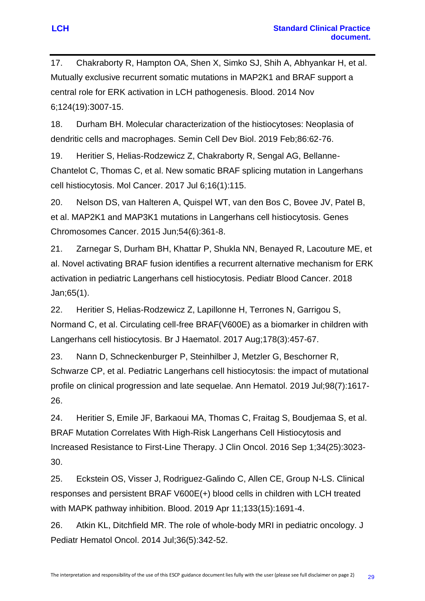17. Chakraborty R, Hampton OA, Shen X, Simko SJ, Shih A, Abhyankar H, et al. Mutually exclusive recurrent somatic mutations in MAP2K1 and BRAF support a central role for ERK activation in LCH pathogenesis. Blood. 2014 Nov 6;124(19):3007-15.

18. Durham BH. Molecular characterization of the histiocytoses: Neoplasia of dendritic cells and macrophages. Semin Cell Dev Biol. 2019 Feb;86:62-76.

19. Heritier S, Helias-Rodzewicz Z, Chakraborty R, Sengal AG, Bellanne-Chantelot C, Thomas C, et al. New somatic BRAF splicing mutation in Langerhans cell histiocytosis. Mol Cancer. 2017 Jul 6;16(1):115.

20. Nelson DS, van Halteren A, Quispel WT, van den Bos C, Bovee JV, Patel B, et al. MAP2K1 and MAP3K1 mutations in Langerhans cell histiocytosis. Genes Chromosomes Cancer. 2015 Jun;54(6):361-8.

21. Zarnegar S, Durham BH, Khattar P, Shukla NN, Benayed R, Lacouture ME, et al. Novel activating BRAF fusion identifies a recurrent alternative mechanism for ERK activation in pediatric Langerhans cell histiocytosis. Pediatr Blood Cancer. 2018 Jan;65(1).

22. Heritier S, Helias-Rodzewicz Z, Lapillonne H, Terrones N, Garrigou S, Normand C, et al. Circulating cell-free BRAF(V600E) as a biomarker in children with Langerhans cell histiocytosis. Br J Haematol. 2017 Aug;178(3):457-67.

23. Nann D, Schneckenburger P, Steinhilber J, Metzler G, Beschorner R, Schwarze CP, et al. Pediatric Langerhans cell histiocytosis: the impact of mutational profile on clinical progression and late sequelae. Ann Hematol. 2019 Jul;98(7):1617- 26.

24. Heritier S, Emile JF, Barkaoui MA, Thomas C, Fraitag S, Boudjemaa S, et al. BRAF Mutation Correlates With High-Risk Langerhans Cell Histiocytosis and Increased Resistance to First-Line Therapy. J Clin Oncol. 2016 Sep 1;34(25):3023- 30.

25. Eckstein OS, Visser J, Rodriguez-Galindo C, Allen CE, Group N-LS. Clinical responses and persistent BRAF V600E(+) blood cells in children with LCH treated with MAPK pathway inhibition. Blood. 2019 Apr 11;133(15):1691-4.

26. Atkin KL, Ditchfield MR. The role of whole-body MRI in pediatric oncology. J Pediatr Hematol Oncol. 2014 Jul;36(5):342-52.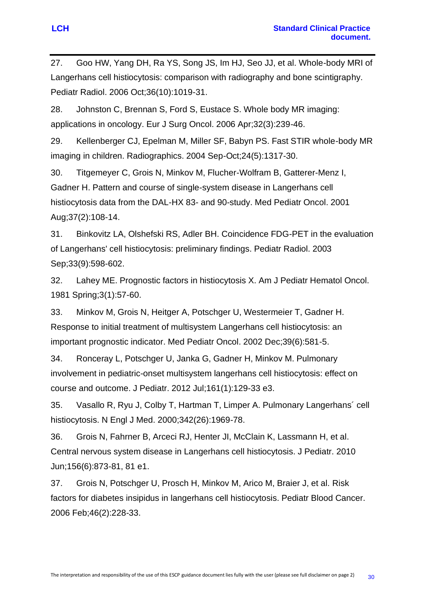27. Goo HW, Yang DH, Ra YS, Song JS, Im HJ, Seo JJ, et al. Whole-body MRI of Langerhans cell histiocytosis: comparison with radiography and bone scintigraphy. Pediatr Radiol. 2006 Oct;36(10):1019-31.

28. Johnston C, Brennan S, Ford S, Eustace S. Whole body MR imaging: applications in oncology. Eur J Surg Oncol. 2006 Apr;32(3):239-46.

29. Kellenberger CJ, Epelman M, Miller SF, Babyn PS. Fast STIR whole-body MR imaging in children. Radiographics. 2004 Sep-Oct;24(5):1317-30.

30. Titgemeyer C, Grois N, Minkov M, Flucher-Wolfram B, Gatterer-Menz I, Gadner H. Pattern and course of single-system disease in Langerhans cell histiocytosis data from the DAL-HX 83- and 90-study. Med Pediatr Oncol. 2001 Aug;37(2):108-14.

31. Binkovitz LA, Olshefski RS, Adler BH. Coincidence FDG-PET in the evaluation of Langerhans' cell histiocytosis: preliminary findings. Pediatr Radiol. 2003 Sep;33(9):598-602.

32. Lahey ME. Prognostic factors in histiocytosis X. Am J Pediatr Hematol Oncol. 1981 Spring;3(1):57-60.

33. Minkov M, Grois N, Heitger A, Potschger U, Westermeier T, Gadner H. Response to initial treatment of multisystem Langerhans cell histiocytosis: an important prognostic indicator. Med Pediatr Oncol. 2002 Dec;39(6):581-5.

34. Ronceray L, Potschger U, Janka G, Gadner H, Minkov M. Pulmonary involvement in pediatric-onset multisystem langerhans cell histiocytosis: effect on course and outcome. J Pediatr. 2012 Jul;161(1):129-33 e3.

35. Vasallo R, Ryu J, Colby T, Hartman T, Limper A. Pulmonary Langerhans´ cell histiocytosis. N Engl J Med. 2000;342(26):1969-78.

36. Grois N, Fahrner B, Arceci RJ, Henter JI, McClain K, Lassmann H, et al. Central nervous system disease in Langerhans cell histiocytosis. J Pediatr. 2010 Jun;156(6):873-81, 81 e1.

37. Grois N, Potschger U, Prosch H, Minkov M, Arico M, Braier J, et al. Risk factors for diabetes insipidus in langerhans cell histiocytosis. Pediatr Blood Cancer. 2006 Feb;46(2):228-33.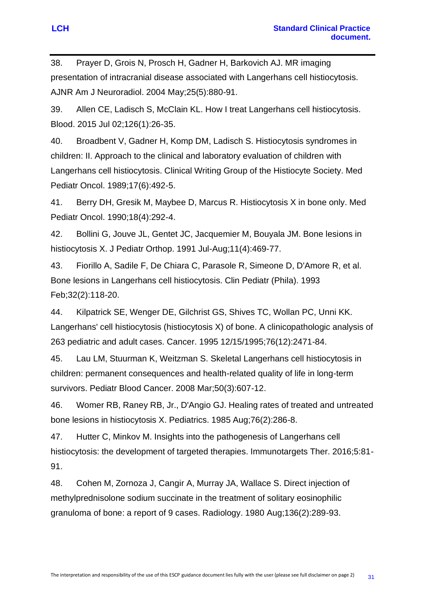38. Prayer D, Grois N, Prosch H, Gadner H, Barkovich AJ. MR imaging presentation of intracranial disease associated with Langerhans cell histiocytosis. AJNR Am J Neuroradiol. 2004 May;25(5):880-91.

39. Allen CE, Ladisch S, McClain KL. How I treat Langerhans cell histiocytosis. Blood. 2015 Jul 02;126(1):26-35.

40. Broadbent V, Gadner H, Komp DM, Ladisch S. Histiocytosis syndromes in children: II. Approach to the clinical and laboratory evaluation of children with Langerhans cell histiocytosis. Clinical Writing Group of the Histiocyte Society. Med Pediatr Oncol. 1989;17(6):492-5.

41. Berry DH, Gresik M, Maybee D, Marcus R. Histiocytosis X in bone only. Med Pediatr Oncol. 1990;18(4):292-4.

42. Bollini G, Jouve JL, Gentet JC, Jacquemier M, Bouyala JM. Bone lesions in histiocytosis X. J Pediatr Orthop. 1991 Jul-Aug;11(4):469-77.

43. Fiorillo A, Sadile F, De Chiara C, Parasole R, Simeone D, D'Amore R, et al. Bone lesions in Langerhans cell histiocytosis. Clin Pediatr (Phila). 1993 Feb;32(2):118-20.

44. Kilpatrick SE, Wenger DE, Gilchrist GS, Shives TC, Wollan PC, Unni KK. Langerhans' cell histiocytosis (histiocytosis X) of bone. A clinicopathologic analysis of 263 pediatric and adult cases. Cancer. 1995 12/15/1995;76(12):2471-84.

45. Lau LM, Stuurman K, Weitzman S. Skeletal Langerhans cell histiocytosis in children: permanent consequences and health-related quality of life in long-term survivors. Pediatr Blood Cancer. 2008 Mar;50(3):607-12.

46. Womer RB, Raney RB, Jr., D'Angio GJ. Healing rates of treated and untreated bone lesions in histiocytosis X. Pediatrics. 1985 Aug;76(2):286-8.

47. Hutter C, Minkov M. Insights into the pathogenesis of Langerhans cell histiocytosis: the development of targeted therapies. Immunotargets Ther. 2016;5:81- 91.

48. Cohen M, Zornoza J, Cangir A, Murray JA, Wallace S. Direct injection of methylprednisolone sodium succinate in the treatment of solitary eosinophilic granuloma of bone: a report of 9 cases. Radiology. 1980 Aug;136(2):289-93.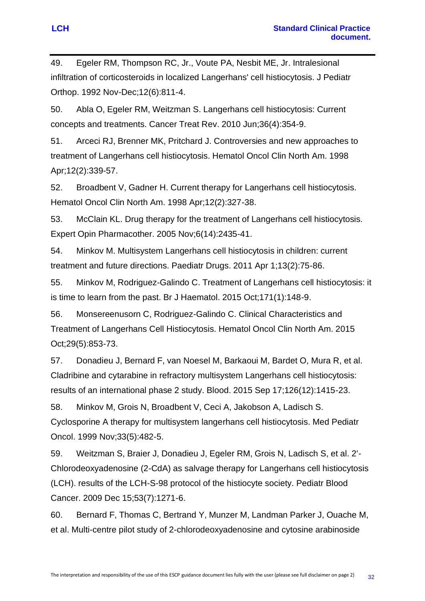49. Egeler RM, Thompson RC, Jr., Voute PA, Nesbit ME, Jr. Intralesional infiltration of corticosteroids in localized Langerhans' cell histiocytosis. J Pediatr Orthop. 1992 Nov-Dec;12(6):811-4.

50. Abla O, Egeler RM, Weitzman S. Langerhans cell histiocytosis: Current concepts and treatments. Cancer Treat Rev. 2010 Jun;36(4):354-9.

51. Arceci RJ, Brenner MK, Pritchard J. Controversies and new approaches to treatment of Langerhans cell histiocytosis. Hematol Oncol Clin North Am. 1998 Apr;12(2):339-57.

52. Broadbent V, Gadner H. Current therapy for Langerhans cell histiocytosis. Hematol Oncol Clin North Am. 1998 Apr;12(2):327-38.

53. McClain KL. Drug therapy for the treatment of Langerhans cell histiocytosis. Expert Opin Pharmacother. 2005 Nov;6(14):2435-41.

54. Minkov M. Multisystem Langerhans cell histiocytosis in children: current treatment and future directions. Paediatr Drugs. 2011 Apr 1;13(2):75-86.

55. Minkov M, Rodriguez-Galindo C. Treatment of Langerhans cell histiocytosis: it is time to learn from the past. Br J Haematol. 2015 Oct;171(1):148-9.

56. Monsereenusorn C, Rodriguez-Galindo C. Clinical Characteristics and Treatment of Langerhans Cell Histiocytosis. Hematol Oncol Clin North Am. 2015 Oct;29(5):853-73.

57. Donadieu J, Bernard F, van Noesel M, Barkaoui M, Bardet O, Mura R, et al. Cladribine and cytarabine in refractory multisystem Langerhans cell histiocytosis: results of an international phase 2 study. Blood. 2015 Sep 17;126(12):1415-23.

58. Minkov M, Grois N, Broadbent V, Ceci A, Jakobson A, Ladisch S. Cyclosporine A therapy for multisystem langerhans cell histiocytosis. Med Pediatr Oncol. 1999 Nov;33(5):482-5.

59. Weitzman S, Braier J, Donadieu J, Egeler RM, Grois N, Ladisch S, et al. 2'- Chlorodeoxyadenosine (2-CdA) as salvage therapy for Langerhans cell histiocytosis (LCH). results of the LCH-S-98 protocol of the histiocyte society. Pediatr Blood Cancer. 2009 Dec 15;53(7):1271-6.

60. Bernard F, Thomas C, Bertrand Y, Munzer M, Landman Parker J, Ouache M, et al. Multi-centre pilot study of 2-chlorodeoxyadenosine and cytosine arabinoside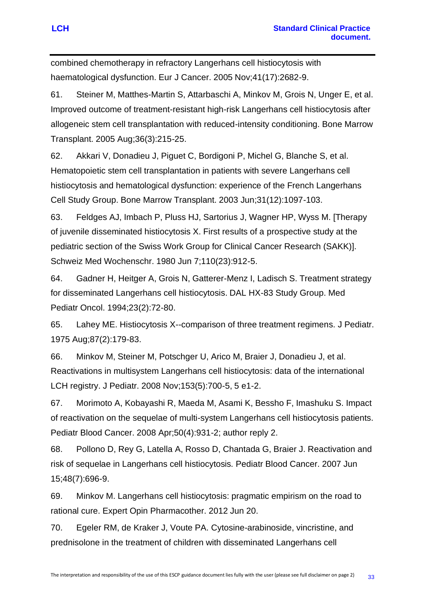combined chemotherapy in refractory Langerhans cell histiocytosis with haematological dysfunction. Eur J Cancer. 2005 Nov;41(17):2682-9.

61. Steiner M, Matthes-Martin S, Attarbaschi A, Minkov M, Grois N, Unger E, et al. Improved outcome of treatment-resistant high-risk Langerhans cell histiocytosis after allogeneic stem cell transplantation with reduced-intensity conditioning. Bone Marrow Transplant. 2005 Aug;36(3):215-25.

62. Akkari V, Donadieu J, Piguet C, Bordigoni P, Michel G, Blanche S, et al. Hematopoietic stem cell transplantation in patients with severe Langerhans cell histiocytosis and hematological dysfunction: experience of the French Langerhans Cell Study Group. Bone Marrow Transplant. 2003 Jun;31(12):1097-103.

63. Feldges AJ, Imbach P, Pluss HJ, Sartorius J, Wagner HP, Wyss M. [Therapy of juvenile disseminated histiocytosis X. First results of a prospective study at the pediatric section of the Swiss Work Group for Clinical Cancer Research (SAKK)]. Schweiz Med Wochenschr. 1980 Jun 7;110(23):912-5.

64. Gadner H, Heitger A, Grois N, Gatterer-Menz I, Ladisch S. Treatment strategy for disseminated Langerhans cell histiocytosis. DAL HX-83 Study Group. Med Pediatr Oncol. 1994;23(2):72-80.

65. Lahey ME. Histiocytosis X--comparison of three treatment regimens. J Pediatr. 1975 Aug;87(2):179-83.

66. Minkov M, Steiner M, Potschger U, Arico M, Braier J, Donadieu J, et al. Reactivations in multisystem Langerhans cell histiocytosis: data of the international LCH registry. J Pediatr. 2008 Nov;153(5):700-5, 5 e1-2.

67. Morimoto A, Kobayashi R, Maeda M, Asami K, Bessho F, Imashuku S. Impact of reactivation on the sequelae of multi-system Langerhans cell histiocytosis patients. Pediatr Blood Cancer. 2008 Apr;50(4):931-2; author reply 2.

68. Pollono D, Rey G, Latella A, Rosso D, Chantada G, Braier J. Reactivation and risk of sequelae in Langerhans cell histiocytosis. Pediatr Blood Cancer. 2007 Jun 15;48(7):696-9.

69. Minkov M. Langerhans cell histiocytosis: pragmatic empirism on the road to rational cure. Expert Opin Pharmacother. 2012 Jun 20.

70. Egeler RM, de Kraker J, Voute PA. Cytosine-arabinoside, vincristine, and prednisolone in the treatment of children with disseminated Langerhans cell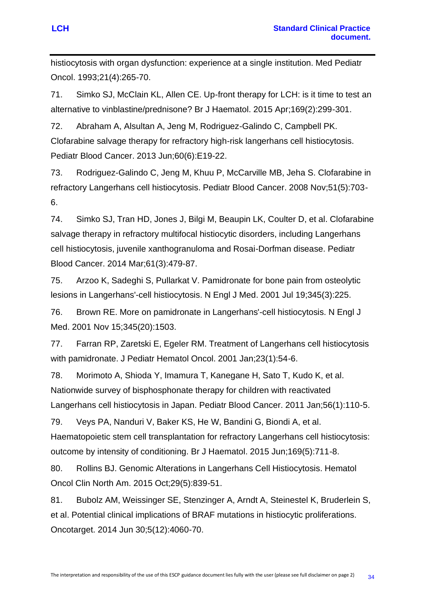histiocytosis with organ dysfunction: experience at a single institution. Med Pediatr Oncol. 1993;21(4):265-70.

71. Simko SJ, McClain KL, Allen CE. Up-front therapy for LCH: is it time to test an alternative to vinblastine/prednisone? Br J Haematol. 2015 Apr;169(2):299-301.

72. Abraham A, Alsultan A, Jeng M, Rodriguez-Galindo C, Campbell PK. Clofarabine salvage therapy for refractory high-risk langerhans cell histiocytosis. Pediatr Blood Cancer. 2013 Jun;60(6):E19-22.

73. Rodriguez-Galindo C, Jeng M, Khuu P, McCarville MB, Jeha S. Clofarabine in refractory Langerhans cell histiocytosis. Pediatr Blood Cancer. 2008 Nov;51(5):703- 6.

74. Simko SJ, Tran HD, Jones J, Bilgi M, Beaupin LK, Coulter D, et al. Clofarabine salvage therapy in refractory multifocal histiocytic disorders, including Langerhans cell histiocytosis, juvenile xanthogranuloma and Rosai-Dorfman disease. Pediatr Blood Cancer. 2014 Mar;61(3):479-87.

75. Arzoo K, Sadeghi S, Pullarkat V. Pamidronate for bone pain from osteolytic lesions in Langerhans'-cell histiocytosis. N Engl J Med. 2001 Jul 19;345(3):225.

76. Brown RE. More on pamidronate in Langerhans'-cell histiocytosis. N Engl J Med. 2001 Nov 15;345(20):1503.

77. Farran RP, Zaretski E, Egeler RM. Treatment of Langerhans cell histiocytosis with pamidronate. J Pediatr Hematol Oncol. 2001 Jan;23(1):54-6.

78. Morimoto A, Shioda Y, Imamura T, Kanegane H, Sato T, Kudo K, et al. Nationwide survey of bisphosphonate therapy for children with reactivated Langerhans cell histiocytosis in Japan. Pediatr Blood Cancer. 2011 Jan;56(1):110-5.

79. Veys PA, Nanduri V, Baker KS, He W, Bandini G, Biondi A, et al. Haematopoietic stem cell transplantation for refractory Langerhans cell histiocytosis: outcome by intensity of conditioning. Br J Haematol. 2015 Jun;169(5):711-8.

80. Rollins BJ. Genomic Alterations in Langerhans Cell Histiocytosis. Hematol Oncol Clin North Am. 2015 Oct;29(5):839-51.

81. Bubolz AM, Weissinger SE, Stenzinger A, Arndt A, Steinestel K, Bruderlein S, et al. Potential clinical implications of BRAF mutations in histiocytic proliferations. Oncotarget. 2014 Jun 30;5(12):4060-70.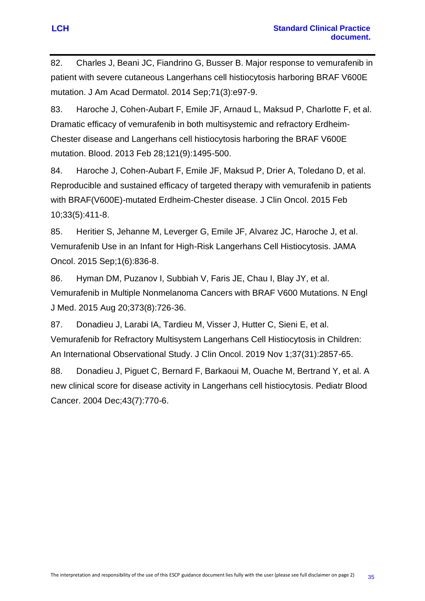82. Charles J, Beani JC, Fiandrino G, Busser B. Major response to vemurafenib in patient with severe cutaneous Langerhans cell histiocytosis harboring BRAF V600E mutation. J Am Acad Dermatol. 2014 Sep;71(3):e97-9.

83. Haroche J, Cohen-Aubart F, Emile JF, Arnaud L, Maksud P, Charlotte F, et al. Dramatic efficacy of vemurafenib in both multisystemic and refractory Erdheim-Chester disease and Langerhans cell histiocytosis harboring the BRAF V600E mutation. Blood. 2013 Feb 28;121(9):1495-500.

84. Haroche J, Cohen-Aubart F, Emile JF, Maksud P, Drier A, Toledano D, et al. Reproducible and sustained efficacy of targeted therapy with vemurafenib in patients with BRAF(V600E)-mutated Erdheim-Chester disease. J Clin Oncol. 2015 Feb 10;33(5):411-8.

85. Heritier S, Jehanne M, Leverger G, Emile JF, Alvarez JC, Haroche J, et al. Vemurafenib Use in an Infant for High-Risk Langerhans Cell Histiocytosis. JAMA Oncol. 2015 Sep;1(6):836-8.

86. Hyman DM, Puzanov I, Subbiah V, Faris JE, Chau I, Blay JY, et al. Vemurafenib in Multiple Nonmelanoma Cancers with BRAF V600 Mutations. N Engl J Med. 2015 Aug 20;373(8):726-36.

87. Donadieu J, Larabi IA, Tardieu M, Visser J, Hutter C, Sieni E, et al. Vemurafenib for Refractory Multisystem Langerhans Cell Histiocytosis in Children: An International Observational Study. J Clin Oncol. 2019 Nov 1;37(31):2857-65.

88. Donadieu J, Piguet C, Bernard F, Barkaoui M, Ouache M, Bertrand Y, et al. A new clinical score for disease activity in Langerhans cell histiocytosis. Pediatr Blood Cancer. 2004 Dec;43(7):770-6.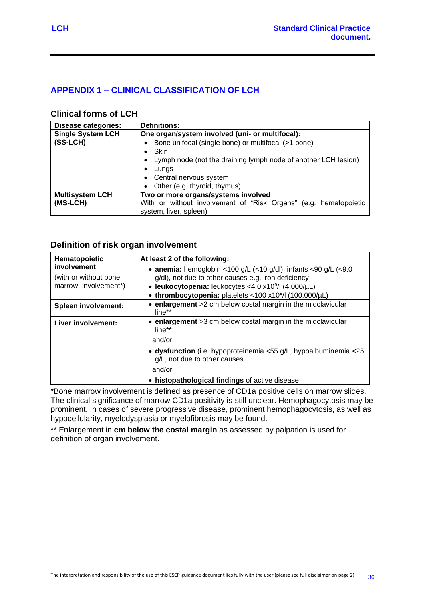# <span id="page-38-0"></span>**APPENDIX 1 – CLINICAL CLASSIFICATION OF LCH**

#### **Clinical forms of LCH**

| <b>Disease categories:</b> | <b>Definitions:</b>                                              |  |  |  |  |
|----------------------------|------------------------------------------------------------------|--|--|--|--|
| <b>Single System LCH</b>   | One organ/system involved (uni- or multifocal):                  |  |  |  |  |
| $(SS-LCH)$                 | Bone unifocal (single bone) or multifocal (>1 bone)              |  |  |  |  |
|                            | Skin<br>$\bullet$                                                |  |  |  |  |
|                            | Lymph node (not the draining lymph node of another LCH lesion)   |  |  |  |  |
|                            | Lungs<br>$\bullet$                                               |  |  |  |  |
|                            | • Central nervous system                                         |  |  |  |  |
|                            | • Other (e.g. thyroid, thymus)                                   |  |  |  |  |
| <b>Multisystem LCH</b>     | Two or more organs/systems involved                              |  |  |  |  |
| (MS-LCH)                   | With or without involvement of "Risk Organs" (e.g. hematopoietic |  |  |  |  |
|                            | system, liver, spleen)                                           |  |  |  |  |

#### **Definition of risk organ involvement**

| Hematopoietic<br>involvement:<br>(with or without bone)<br>marrow involvement*) | At least 2 of the following:<br>• anemia: hemoglobin <100 g/L (<10 g/dl), infants <90 g/L (<9.0<br>g/dl), not due to other causes e.g. iron deficiency<br>• leukocytopenia: leukocytes <4,0 x10 <sup>9</sup> /l (4,000/µL)<br>• thrombocytopenia: platelets <100 x10 <sup>9</sup> /l (100.000/µL) |
|---------------------------------------------------------------------------------|---------------------------------------------------------------------------------------------------------------------------------------------------------------------------------------------------------------------------------------------------------------------------------------------------|
| <b>Spleen involvement:</b>                                                      | • enlargement >2 cm below costal margin in the midclavicular<br>$line**$                                                                                                                                                                                                                          |
| Liver involvement:                                                              | • enlargement >3 cm below costal margin in the midclavicular<br>line**<br>and/or                                                                                                                                                                                                                  |
|                                                                                 | • dysfunction (i.e. hypoproteinemia <55 g/L, hypoalbuminemia <25<br>g/L, not due to other causes<br>and/or<br>• histopathological findings of active disease                                                                                                                                      |

\*Bone marrow involvement is defined as presence of CD1a positive cells on marrow slides. The clinical significance of marrow CD1a positivity is still unclear. Hemophagocytosis may be prominent. In cases of severe progressive disease, prominent hemophagocytosis, as well as hypocellularity, myelodysplasia or myelofibrosis may be found.

\*\* Enlargement in **cm below the costal margin** as assessed by palpation is used for definition of organ involvement.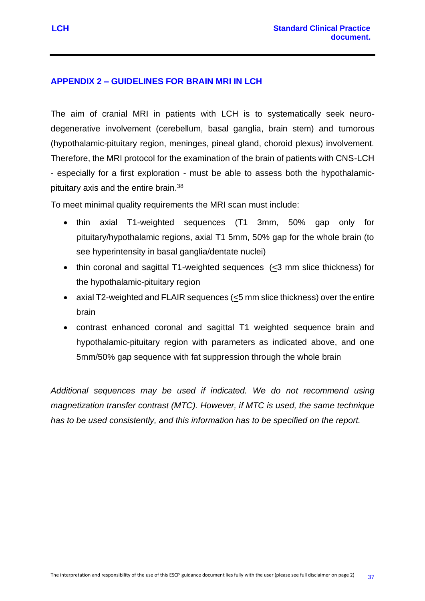## <span id="page-39-0"></span>**APPENDIX 2 – GUIDELINES FOR BRAIN MRI IN LCH**

The aim of cranial MRI in patients with LCH is to systematically seek neurodegenerative involvement (cerebellum, basal ganglia, brain stem) and tumorous (hypothalamic-pituitary region, meninges, pineal gland, choroid plexus) involvement. Therefore, the MRI protocol for the examination of the brain of patients with CNS-LCH - especially for a first exploration - must be able to assess both the hypothalamicpituitary axis and the entire brain.<sup>38</sup>

To meet minimal quality requirements the MRI scan must include:

- thin axial T1-weighted sequences (T1 3mm, 50% gap only for pituitary/hypothalamic regions, axial T1 5mm, 50% gap for the whole brain (to see hyperintensity in basal ganglia/dentate nuclei)
- thin coronal and sagittal T1-weighted sequences  $(\leq 3$  mm slice thickness) for the hypothalamic-pituitary region
- axial T2-weighted and FLAIR sequences (<5 mm slice thickness) over the entire brain
- contrast enhanced coronal and sagittal T1 weighted sequence brain and hypothalamic-pituitary region with parameters as indicated above, and one 5mm/50% gap sequence with fat suppression through the whole brain

*Additional sequences may be used if indicated. We do not recommend using magnetization transfer contrast (MTC). However, if MTC is used, the same technique has to be used consistently, and this information has to be specified on the report.*